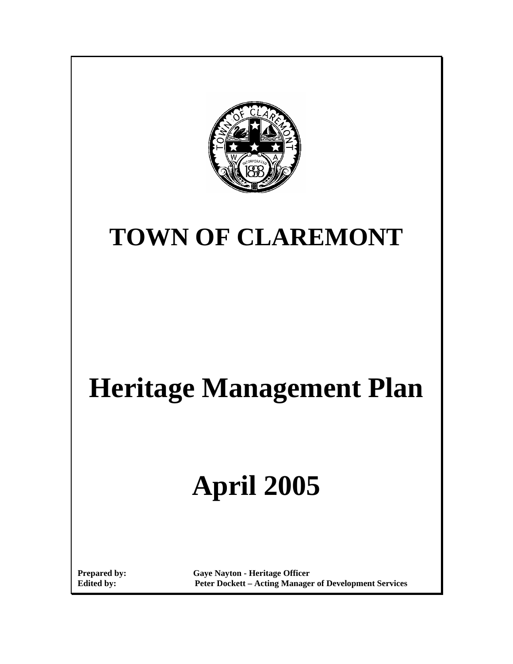

# **TOWN OF CLAREMONT**

# **Heritage Management Plan**

# **April 2005**

**Prepared by: Gaye Nayton - Heritage Officer Edited by: Peter Dockett – Acting Manager of Development Services**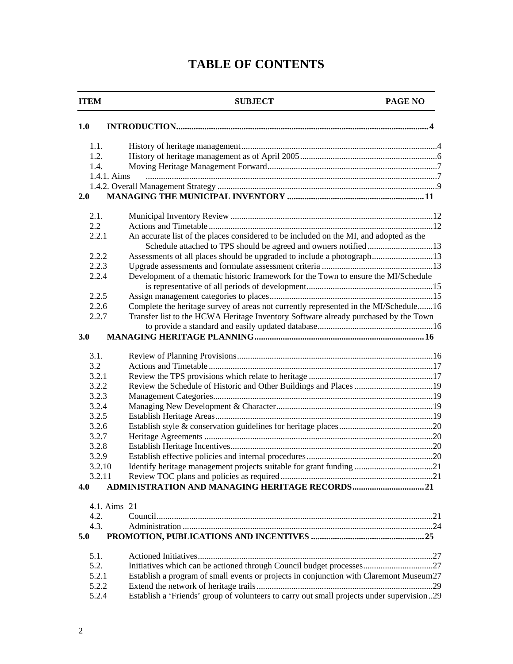# **TABLE OF CONTENTS**

#### **ITEM SUBJECT PAGE NO**

| 1.1.<br>1.2.<br>1.4.                                                                                                                                               |  |
|--------------------------------------------------------------------------------------------------------------------------------------------------------------------|--|
|                                                                                                                                                                    |  |
|                                                                                                                                                                    |  |
|                                                                                                                                                                    |  |
| 1.4.1. Aims                                                                                                                                                        |  |
|                                                                                                                                                                    |  |
| 2.0                                                                                                                                                                |  |
| 2.1.                                                                                                                                                               |  |
| 2.2                                                                                                                                                                |  |
| An accurate list of the places considered to be included on the MI, and adopted as the<br>2.2.1<br>Schedule attached to TPS should be agreed and owners notified13 |  |
| 2.2.2<br>Assessments of all places should be upgraded to include a photograph13                                                                                    |  |
| 2.2.3                                                                                                                                                              |  |
| Development of a thematic historic framework for the Town to ensure the MI/Schedule<br>2.2.4                                                                       |  |
| 2.2.5                                                                                                                                                              |  |
| Complete the heritage survey of areas not currently represented in the MI/Schedule16<br>2.2.6                                                                      |  |
| Transfer list to the HCWA Heritage Inventory Software already purchased by the Town<br>2.2.7                                                                       |  |
|                                                                                                                                                                    |  |
| 3.0                                                                                                                                                                |  |
| 3.1.                                                                                                                                                               |  |
| 3.2                                                                                                                                                                |  |
| 3.2.1                                                                                                                                                              |  |
| 3.2.2                                                                                                                                                              |  |
| 3.2.3                                                                                                                                                              |  |
| 3.2.4                                                                                                                                                              |  |
| 3.2.5                                                                                                                                                              |  |
| 3.2.6                                                                                                                                                              |  |
| 3.2.7                                                                                                                                                              |  |
| 3.2.8                                                                                                                                                              |  |
| 3.2.9                                                                                                                                                              |  |
| Identify heritage management projects suitable for grant funding 21<br>3.2.10                                                                                      |  |
| 3.2.11                                                                                                                                                             |  |
| 4.0                                                                                                                                                                |  |
| 4.1. Aims 21                                                                                                                                                       |  |
| 4.2.                                                                                                                                                               |  |
| 4.3.                                                                                                                                                               |  |
| 5.0                                                                                                                                                                |  |
| 5.1.                                                                                                                                                               |  |
| 5.2.                                                                                                                                                               |  |
| Establish a program of small events or projects in conjunction with Claremont Museum27<br>5.2.1                                                                    |  |
| 5.2.2                                                                                                                                                              |  |
| Establish a 'Friends' group of volunteers to carry out small projects under supervision29<br>5.2.4                                                                 |  |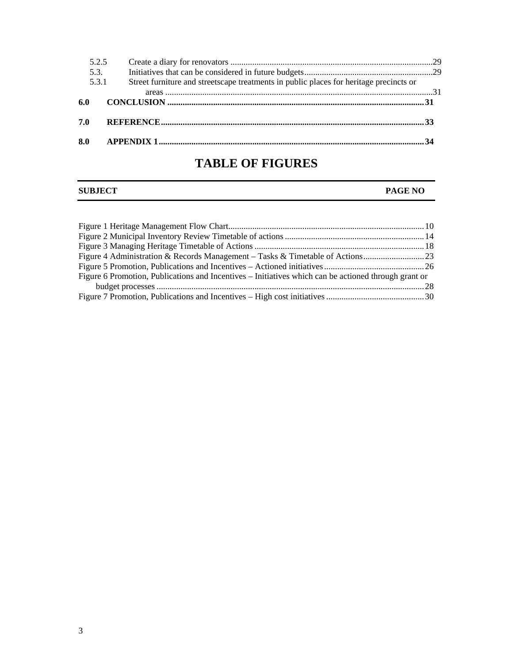|     | 5.2.5 |                                                                                        |  |
|-----|-------|----------------------------------------------------------------------------------------|--|
|     | 5.3.  |                                                                                        |  |
|     | 5.3.1 | Street furniture and streetscape treatments in public places for heritage precincts or |  |
|     |       |                                                                                        |  |
| 6.0 |       |                                                                                        |  |
| 7.0 |       |                                                                                        |  |
| 8.0 |       |                                                                                        |  |

# **TABLE OF FIGURES**

#### **SUBJECT PAGE NO**

| Figure 6 Promotion, Publications and Incentives – Initiatives which can be actioned through grant or |  |
|------------------------------------------------------------------------------------------------------|--|
|                                                                                                      |  |
|                                                                                                      |  |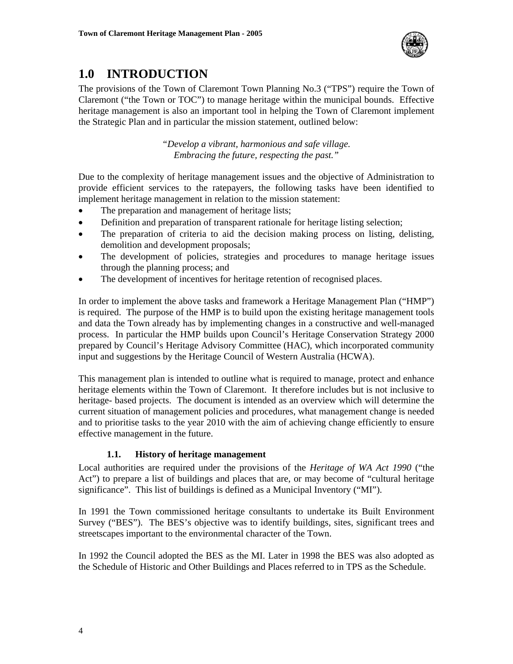

# **1.0 INTRODUCTION**

The provisions of the Town of Claremont Town Planning No.3 ("TPS") require the Town of Claremont ("the Town or TOC") to manage heritage within the municipal bounds. Effective heritage management is also an important tool in helping the Town of Claremont implement the Strategic Plan and in particular the mission statement, outlined below:

> *"Develop a vibrant, harmonious and safe village. Embracing the future, respecting the past."*

Due to the complexity of heritage management issues and the objective of Administration to provide efficient services to the ratepayers, the following tasks have been identified to implement heritage management in relation to the mission statement:

- The preparation and management of heritage lists;
- Definition and preparation of transparent rationale for heritage listing selection;
- The preparation of criteria to aid the decision making process on listing, delisting, demolition and development proposals;
- The development of policies, strategies and procedures to manage heritage issues through the planning process; and
- The development of incentives for heritage retention of recognised places.

In order to implement the above tasks and framework a Heritage Management Plan ("HMP") is required. The purpose of the HMP is to build upon the existing heritage management tools and data the Town already has by implementing changes in a constructive and well-managed process. In particular the HMP builds upon Council's Heritage Conservation Strategy 2000 prepared by Council's Heritage Advisory Committee (HAC), which incorporated community input and suggestions by the Heritage Council of Western Australia (HCWA).

This management plan is intended to outline what is required to manage, protect and enhance heritage elements within the Town of Claremont. It therefore includes but is not inclusive to heritage- based projects. The document is intended as an overview which will determine the current situation of management policies and procedures, what management change is needed and to prioritise tasks to the year 2010 with the aim of achieving change efficiently to ensure effective management in the future.

#### **1.1. History of heritage management**

Local authorities are required under the provisions of the *Heritage of WA Act 1990* ("the Act") to prepare a list of buildings and places that are, or may become of "cultural heritage significance". This list of buildings is defined as a Municipal Inventory ("MI").

In 1991 the Town commissioned heritage consultants to undertake its Built Environment Survey ("BES"). The BES's objective was to identify buildings, sites, significant trees and streetscapes important to the environmental character of the Town.

In 1992 the Council adopted the BES as the MI. Later in 1998 the BES was also adopted as the Schedule of Historic and Other Buildings and Places referred to in TPS as the Schedule.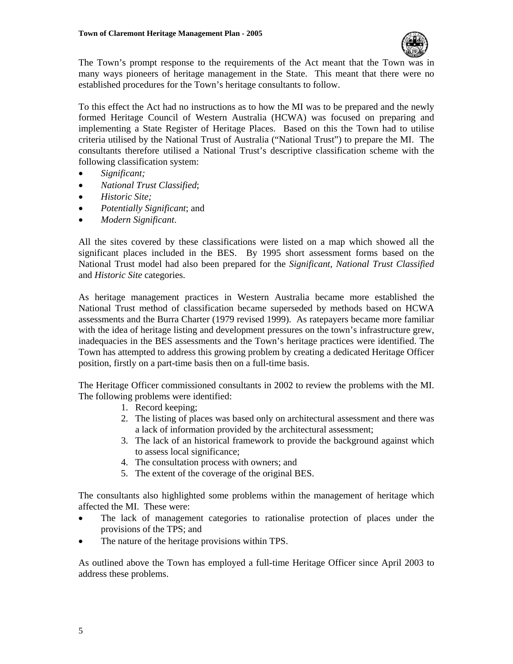

The Town's prompt response to the requirements of the Act meant that the Town was in many ways pioneers of heritage management in the State. This meant that there were no established procedures for the Town's heritage consultants to follow.

To this effect the Act had no instructions as to how the MI was to be prepared and the newly formed Heritage Council of Western Australia (HCWA) was focused on preparing and implementing a State Register of Heritage Places. Based on this the Town had to utilise criteria utilised by the National Trust of Australia ("National Trust") to prepare the MI. The consultants therefore utilised a National Trust's descriptive classification scheme with the following classification system:

- *Significant;*
- *National Trust Classified*;
- *Historic Site;*
- *Potentially Significant*; and
- *Modern Significant*.

All the sites covered by these classifications were listed on a map which showed all the significant places included in the BES. By 1995 short assessment forms based on the National Trust model had also been prepared for the *Significant, National Trust Classified* and *Historic Site* categories.

As heritage management practices in Western Australia became more established the National Trust method of classification became superseded by methods based on HCWA assessments and the Burra Charter (1979 revised 1999). As ratepayers became more familiar with the idea of heritage listing and development pressures on the town's infrastructure grew, inadequacies in the BES assessments and the Town's heritage practices were identified. The Town has attempted to address this growing problem by creating a dedicated Heritage Officer position, firstly on a part-time basis then on a full-time basis.

The Heritage Officer commissioned consultants in 2002 to review the problems with the MI. The following problems were identified:

- 1. Record keeping;
- 2. The listing of places was based only on architectural assessment and there was a lack of information provided by the architectural assessment;
- 3. The lack of an historical framework to provide the background against which to assess local significance;
- 4. The consultation process with owners; and
- 5. The extent of the coverage of the original BES.

The consultants also highlighted some problems within the management of heritage which affected the MI. These were:

- The lack of management categories to rationalise protection of places under the provisions of the TPS; and
- The nature of the heritage provisions within TPS.

As outlined above the Town has employed a full-time Heritage Officer since April 2003 to address these problems.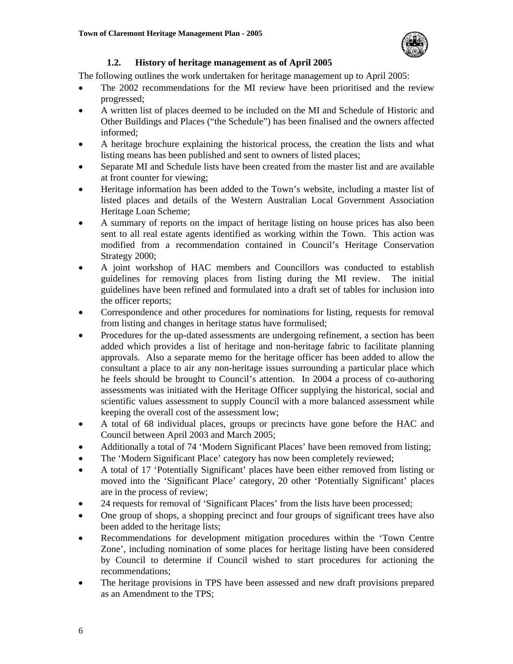

#### **1.2. History of heritage management as of April 2005**

The following outlines the work undertaken for heritage management up to April 2005:

- The 2002 recommendations for the MI review have been prioritised and the review progressed;
- A written list of places deemed to be included on the MI and Schedule of Historic and Other Buildings and Places ("the Schedule") has been finalised and the owners affected informed;
- A heritage brochure explaining the historical process, the creation the lists and what listing means has been published and sent to owners of listed places;
- Separate MI and Schedule lists have been created from the master list and are available at front counter for viewing;
- Heritage information has been added to the Town's website, including a master list of listed places and details of the Western Australian Local Government Association Heritage Loan Scheme;
- A summary of reports on the impact of heritage listing on house prices has also been sent to all real estate agents identified as working within the Town. This action was modified from a recommendation contained in Council's Heritage Conservation Strategy 2000;
- A joint workshop of HAC members and Councillors was conducted to establish guidelines for removing places from listing during the MI review. The initial guidelines have been refined and formulated into a draft set of tables for inclusion into the officer reports;
- Correspondence and other procedures for nominations for listing, requests for removal from listing and changes in heritage status have formulised;
- Procedures for the up-dated assessments are undergoing refinement, a section has been added which provides a list of heritage and non-heritage fabric to facilitate planning approvals. Also a separate memo for the heritage officer has been added to allow the consultant a place to air any non-heritage issues surrounding a particular place which he feels should be brought to Council's attention. In 2004 a process of co-authoring assessments was initiated with the Heritage Officer supplying the historical, social and scientific values assessment to supply Council with a more balanced assessment while keeping the overall cost of the assessment low;
- A total of 68 individual places, groups or precincts have gone before the HAC and Council between April 2003 and March 2005;
- Additionally a total of 74 'Modern Significant Places' have been removed from listing;
- The 'Modern Significant Place' category has now been completely reviewed;
- A total of 17 'Potentially Significant' places have been either removed from listing or moved into the 'Significant Place' category, 20 other 'Potentially Significant' places are in the process of review;
- 24 requests for removal of 'Significant Places' from the lists have been processed;
- One group of shops, a shopping precinct and four groups of significant trees have also been added to the heritage lists;
- Recommendations for development mitigation procedures within the 'Town Centre Zone', including nomination of some places for heritage listing have been considered by Council to determine if Council wished to start procedures for actioning the recommendations;
- The heritage provisions in TPS have been assessed and new draft provisions prepared as an Amendment to the TPS;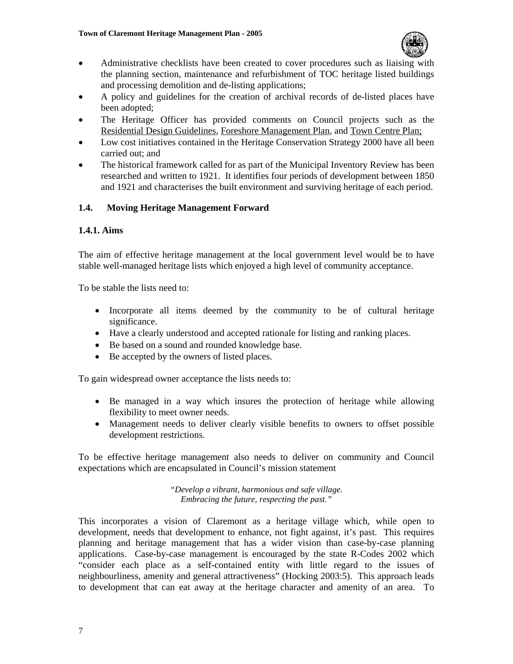

- Administrative checklists have been created to cover procedures such as liaising with the planning section, maintenance and refurbishment of TOC heritage listed buildings and processing demolition and de-listing applications;
- A policy and guidelines for the creation of archival records of de-listed places have been adopted;
- The Heritage Officer has provided comments on Council projects such as the Residential Design Guidelines, Foreshore Management Plan, and Town Centre Plan;
- Low cost initiatives contained in the Heritage Conservation Strategy 2000 have all been carried out; and
- The historical framework called for as part of the Municipal Inventory Review has been researched and written to 1921. It identifies four periods of development between 1850 and 1921 and characterises the built environment and surviving heritage of each period.

#### **1.4. Moving Heritage Management Forward**

#### **1.4.1. Aims**

The aim of effective heritage management at the local government level would be to have stable well-managed heritage lists which enjoyed a high level of community acceptance.

To be stable the lists need to:

- Incorporate all items deemed by the community to be of cultural heritage significance.
- Have a clearly understood and accepted rationale for listing and ranking places.
- Be based on a sound and rounded knowledge base.
- Be accepted by the owners of listed places.

To gain widespread owner acceptance the lists needs to:

- Be managed in a way which insures the protection of heritage while allowing flexibility to meet owner needs.
- Management needs to deliver clearly visible benefits to owners to offset possible development restrictions.

To be effective heritage management also needs to deliver on community and Council expectations which are encapsulated in Council's mission statement

> *"Develop a vibrant, harmonious and safe village. Embracing the future, respecting the past."*

This incorporates a vision of Claremont as a heritage village which, while open to development, needs that development to enhance, not fight against, it's past. This requires planning and heritage management that has a wider vision than case-by-case planning applications. Case-by-case management is encouraged by the state R-Codes 2002 which "consider each place as a self-contained entity with little regard to the issues of neighbourliness, amenity and general attractiveness" (Hocking 2003:5). This approach leads to development that can eat away at the heritage character and amenity of an area. To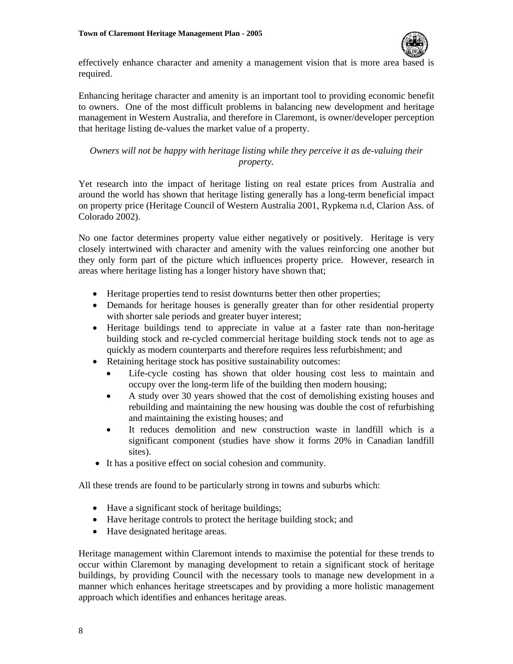

effectively enhance character and amenity a management vision that is more area based is required.

Enhancing heritage character and amenity is an important tool to providing economic benefit to owners. One of the most difficult problems in balancing new development and heritage management in Western Australia, and therefore in Claremont, is owner/developer perception that heritage listing de-values the market value of a property.

*Owners will not be happy with heritage listing while they perceive it as de-valuing their property.* 

Yet research into the impact of heritage listing on real estate prices from Australia and around the world has shown that heritage listing generally has a long-term beneficial impact on property price (Heritage Council of Western Australia 2001, Rypkema n.d, Clarion Ass. of Colorado 2002).

No one factor determines property value either negatively or positively. Heritage is very closely intertwined with character and amenity with the values reinforcing one another but they only form part of the picture which influences property price. However, research in areas where heritage listing has a longer history have shown that;

- Heritage properties tend to resist downturns better then other properties;
- Demands for heritage houses is generally greater than for other residential property with shorter sale periods and greater buyer interest;
- Heritage buildings tend to appreciate in value at a faster rate than non-heritage building stock and re-cycled commercial heritage building stock tends not to age as quickly as modern counterparts and therefore requires less refurbishment; and
- Retaining heritage stock has positive sustainability outcomes:
	- Life-cycle costing has shown that older housing cost less to maintain and occupy over the long-term life of the building then modern housing;
	- A study over 30 years showed that the cost of demolishing existing houses and rebuilding and maintaining the new housing was double the cost of refurbishing and maintaining the existing houses; and
	- It reduces demolition and new construction waste in landfill which is a significant component (studies have show it forms 20% in Canadian landfill sites).
- It has a positive effect on social cohesion and community.

All these trends are found to be particularly strong in towns and suburbs which:

- Have a significant stock of heritage buildings;
- Have heritage controls to protect the heritage building stock; and
- Have designated heritage areas.

Heritage management within Claremont intends to maximise the potential for these trends to occur within Claremont by managing development to retain a significant stock of heritage buildings, by providing Council with the necessary tools to manage new development in a manner which enhances heritage streetscapes and by providing a more holistic management approach which identifies and enhances heritage areas.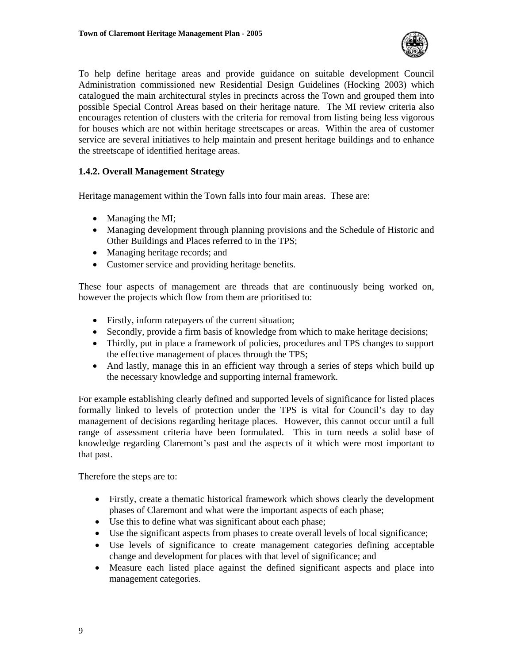

To help define heritage areas and provide guidance on suitable development Council Administration commissioned new Residential Design Guidelines (Hocking 2003) which catalogued the main architectural styles in precincts across the Town and grouped them into possible Special Control Areas based on their heritage nature. The MI review criteria also encourages retention of clusters with the criteria for removal from listing being less vigorous for houses which are not within heritage streetscapes or areas. Within the area of customer service are several initiatives to help maintain and present heritage buildings and to enhance the streetscape of identified heritage areas.

#### **1.4.2. Overall Management Strategy**

Heritage management within the Town falls into four main areas. These are:

- Managing the MI;
- Managing development through planning provisions and the Schedule of Historic and Other Buildings and Places referred to in the TPS;
- Managing heritage records; and
- Customer service and providing heritage benefits.

These four aspects of management are threads that are continuously being worked on, however the projects which flow from them are prioritised to:

- Firstly, inform rate payers of the current situation;
- Secondly, provide a firm basis of knowledge from which to make heritage decisions;
- Thirdly, put in place a framework of policies, procedures and TPS changes to support the effective management of places through the TPS;
- And lastly, manage this in an efficient way through a series of steps which build up the necessary knowledge and supporting internal framework.

For example establishing clearly defined and supported levels of significance for listed places formally linked to levels of protection under the TPS is vital for Council's day to day management of decisions regarding heritage places. However, this cannot occur until a full range of assessment criteria have been formulated. This in turn needs a solid base of knowledge regarding Claremont's past and the aspects of it which were most important to that past.

Therefore the steps are to:

- Firstly, create a thematic historical framework which shows clearly the development phases of Claremont and what were the important aspects of each phase;
- Use this to define what was significant about each phase;
- Use the significant aspects from phases to create overall levels of local significance;
- Use levels of significance to create management categories defining acceptable change and development for places with that level of significance; and
- Measure each listed place against the defined significant aspects and place into management categories.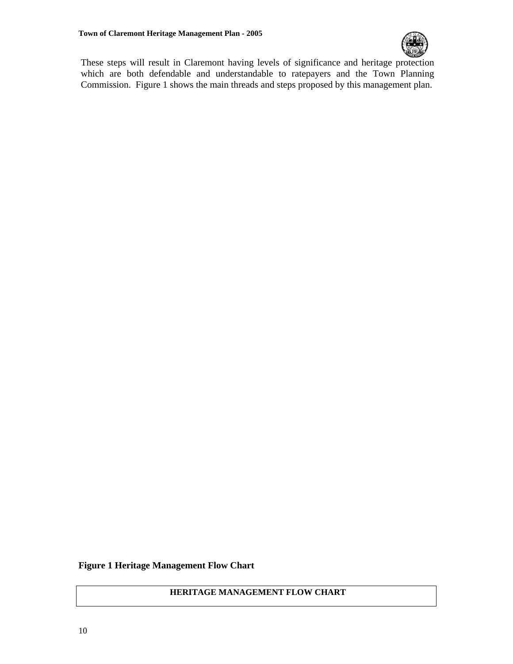

These steps will result in Claremont having levels of significance and heritage protection which are both defendable and understandable to ratepayers and the Town Planning Commission. Figure 1 shows the main threads and steps proposed by this management plan.

#### **Figure 1 Heritage Management Flow Chart**

#### **HERITAGE MANAGEMENT FLOW CHART**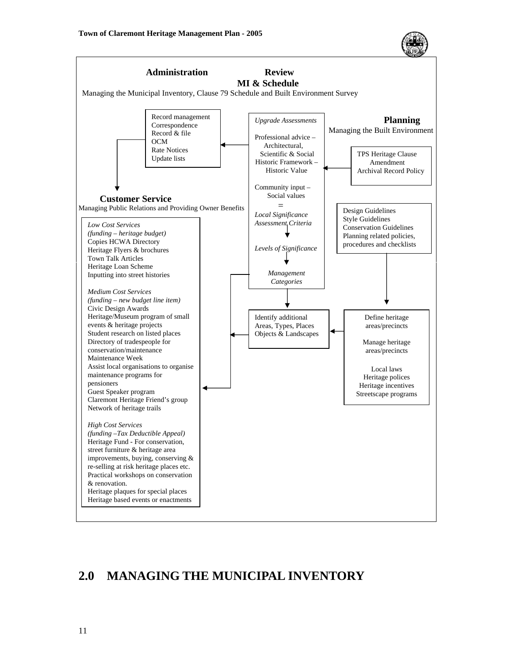



# **2.0 MANAGING THE MUNICIPAL INVENTORY**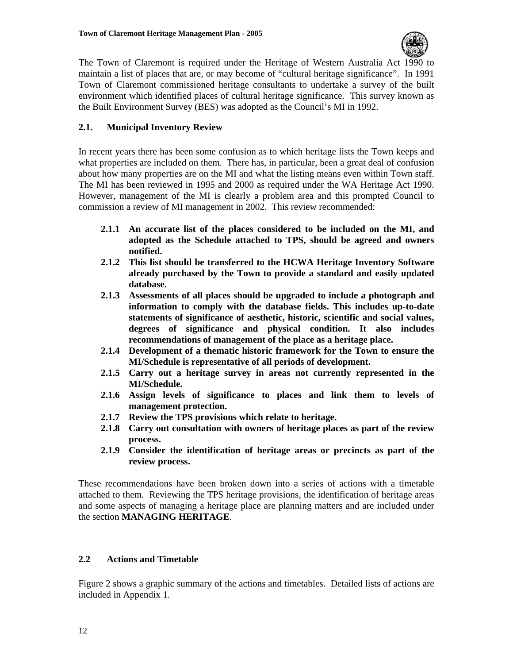

The Town of Claremont is required under the Heritage of Western Australia Act 1990 to maintain a list of places that are, or may become of "cultural heritage significance". In 1991 Town of Claremont commissioned heritage consultants to undertake a survey of the built environment which identified places of cultural heritage significance. This survey known as the Built Environment Survey (BES) was adopted as the Council's MI in 1992.

#### **2.1. Municipal Inventory Review**

In recent years there has been some confusion as to which heritage lists the Town keeps and what properties are included on them. There has, in particular, been a great deal of confusion about how many properties are on the MI and what the listing means even within Town staff. The MI has been reviewed in 1995 and 2000 as required under the WA Heritage Act 1990. However, management of the MI is clearly a problem area and this prompted Council to commission a review of MI management in 2002. This review recommended:

- **2.1.1 An accurate list of the places considered to be included on the MI, and adopted as the Schedule attached to TPS, should be agreed and owners notified.**
- **2.1.2 This list should be transferred to the HCWA Heritage Inventory Software already purchased by the Town to provide a standard and easily updated database.**
- **2.1.3 Assessments of all places should be upgraded to include a photograph and information to comply with the database fields. This includes up-to-date statements of significance of aesthetic, historic, scientific and social values, degrees of significance and physical condition. It also includes recommendations of management of the place as a heritage place.**
- **2.1.4 Development of a thematic historic framework for the Town to ensure the MI/Schedule is representative of all periods of development.**
- **2.1.5 Carry out a heritage survey in areas not currently represented in the MI/Schedule.**
- **2.1.6 Assign levels of significance to places and link them to levels of management protection.**
- **2.1.7 Review the TPS provisions which relate to heritage.**
- **2.1.8 Carry out consultation with owners of heritage places as part of the review process.**
- **2.1.9 Consider the identification of heritage areas or precincts as part of the review process.**

These recommendations have been broken down into a series of actions with a timetable attached to them. Reviewing the TPS heritage provisions, the identification of heritage areas and some aspects of managing a heritage place are planning matters and are included under the section **MANAGING HERITAGE**.

#### **2.2 Actions and Timetable**

Figure 2 shows a graphic summary of the actions and timetables. Detailed lists of actions are included in Appendix 1.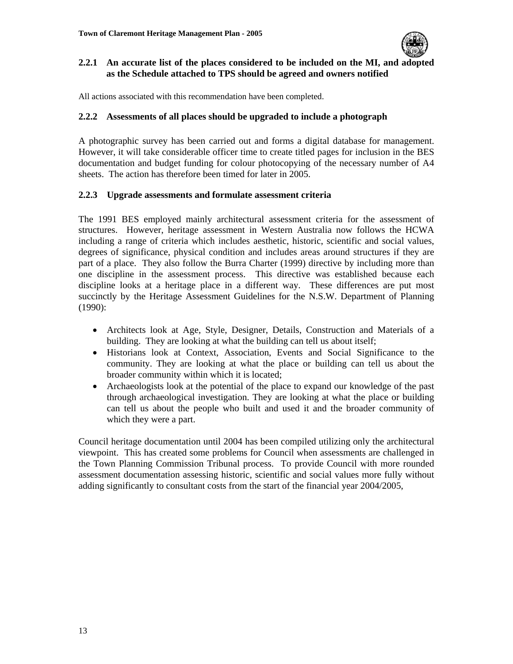

#### **2.2.1 An accurate list of the places considered to be included on the MI, and adopted as the Schedule attached to TPS should be agreed and owners notified**

All actions associated with this recommendation have been completed.

#### **2.2.2 Assessments of all places should be upgraded to include a photograph**

A photographic survey has been carried out and forms a digital database for management. However, it will take considerable officer time to create titled pages for inclusion in the BES documentation and budget funding for colour photocopying of the necessary number of A4 sheets. The action has therefore been timed for later in 2005.

#### **2.2.3 Upgrade assessments and formulate assessment criteria**

The 1991 BES employed mainly architectural assessment criteria for the assessment of structures. However, heritage assessment in Western Australia now follows the HCWA including a range of criteria which includes aesthetic, historic, scientific and social values, degrees of significance, physical condition and includes areas around structures if they are part of a place. They also follow the Burra Charter (1999) directive by including more than one discipline in the assessment process. This directive was established because each discipline looks at a heritage place in a different way. These differences are put most succinctly by the Heritage Assessment Guidelines for the N.S.W. Department of Planning (1990):

- Architects look at Age, Style, Designer, Details, Construction and Materials of a building. They are looking at what the building can tell us about itself;
- Historians look at Context, Association, Events and Social Significance to the community. They are looking at what the place or building can tell us about the broader community within which it is located;
- Archaeologists look at the potential of the place to expand our knowledge of the past through archaeological investigation. They are looking at what the place or building can tell us about the people who built and used it and the broader community of which they were a part.

Council heritage documentation until 2004 has been compiled utilizing only the architectural viewpoint. This has created some problems for Council when assessments are challenged in the Town Planning Commission Tribunal process. To provide Council with more rounded assessment documentation assessing historic, scientific and social values more fully without adding significantly to consultant costs from the start of the financial year 2004/2005,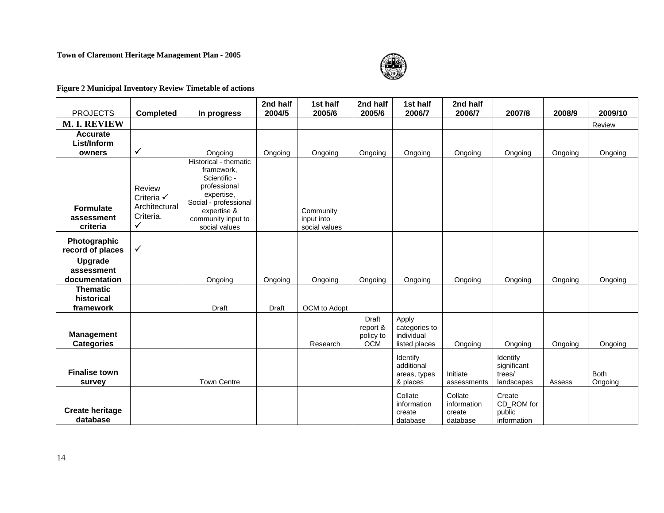#### **Town of Claremont Heritage Management Plan - 2005**



#### **Figure 2 Municipal Inventory Review Timetable of actions**

|                                |                  |                                     | 2nd half | 1st half                    | 2nd half                | 1st half                    | 2nd half               |                       |         |             |
|--------------------------------|------------------|-------------------------------------|----------|-----------------------------|-------------------------|-----------------------------|------------------------|-----------------------|---------|-------------|
| <b>PROJECTS</b>                | <b>Completed</b> | In progress                         | 2004/5   | 2005/6                      | 2005/6                  | 2006/7                      | 2006/7                 | 2007/8                | 2008/9  | 2009/10     |
| <b>M. I. REVIEW</b>            |                  |                                     |          |                             |                         |                             |                        |                       |         | Review      |
| Accurate                       |                  |                                     |          |                             |                         |                             |                        |                       |         |             |
| List/Inform                    |                  |                                     |          |                             |                         |                             |                        |                       |         |             |
| owners                         | $\checkmark$     | Ongoing                             | Ongoing  | Ongoing                     | Ongoing                 | Ongoing                     | Ongoing                | Ongoing               | Ongoing | Ongoing     |
|                                |                  | Historical - thematic               |          |                             |                         |                             |                        |                       |         |             |
|                                |                  | framework.<br>Scientific -          |          |                             |                         |                             |                        |                       |         |             |
|                                | Review           | professional                        |          |                             |                         |                             |                        |                       |         |             |
|                                | Criteria √       | expertise,                          |          |                             |                         |                             |                        |                       |         |             |
|                                | Architectural    | Social - professional               |          |                             |                         |                             |                        |                       |         |             |
| <b>Formulate</b><br>assessment | Criteria.        | expertise &                         |          | Community                   |                         |                             |                        |                       |         |             |
| criteria                       | $\checkmark$     | community input to<br>social values |          | input into<br>social values |                         |                             |                        |                       |         |             |
|                                |                  |                                     |          |                             |                         |                             |                        |                       |         |             |
| Photographic                   |                  |                                     |          |                             |                         |                             |                        |                       |         |             |
| record of places               | $\checkmark$     |                                     |          |                             |                         |                             |                        |                       |         |             |
| <b>Upgrade</b>                 |                  |                                     |          |                             |                         |                             |                        |                       |         |             |
| assessment                     |                  |                                     |          |                             |                         |                             |                        |                       |         |             |
| documentation                  |                  | Ongoing                             | Ongoing  | Ongoing                     | Ongoing                 | Ongoing                     | Ongoing                | Ongoing               | Ongoing | Ongoing     |
| <b>Thematic</b>                |                  |                                     |          |                             |                         |                             |                        |                       |         |             |
| historical                     |                  |                                     |          |                             |                         |                             |                        |                       |         |             |
| framework                      |                  | Draft                               | Draft    | OCM to Adopt                |                         |                             |                        |                       |         |             |
|                                |                  |                                     |          |                             | Draft                   | Apply                       |                        |                       |         |             |
| <b>Management</b>              |                  |                                     |          |                             | report &                | categories to<br>individual |                        |                       |         |             |
| <b>Categories</b>              |                  |                                     |          | Research                    | policy to<br><b>OCM</b> | listed places               | Ongoing                | Ongoing               | Ongoing | Ongoing     |
|                                |                  |                                     |          |                             |                         |                             |                        |                       |         |             |
|                                |                  |                                     |          |                             |                         | Identify                    |                        | Identify              |         |             |
| <b>Finalise town</b>           |                  |                                     |          |                             |                         | additional<br>areas, types  | Initiate               | significant<br>trees/ |         | <b>Both</b> |
| survey                         |                  | <b>Town Centre</b>                  |          |                             |                         | & places                    | assessments            | landscapes            | Assess  | Ongoing     |
|                                |                  |                                     |          |                             |                         |                             |                        |                       |         |             |
|                                |                  |                                     |          |                             |                         | Collate<br>information      | Collate<br>information | Create<br>CD_ROM for  |         |             |
| <b>Create heritage</b>         |                  |                                     |          |                             |                         | create                      | create                 | public                |         |             |
| database                       |                  |                                     |          |                             |                         | database                    | database               | information           |         |             |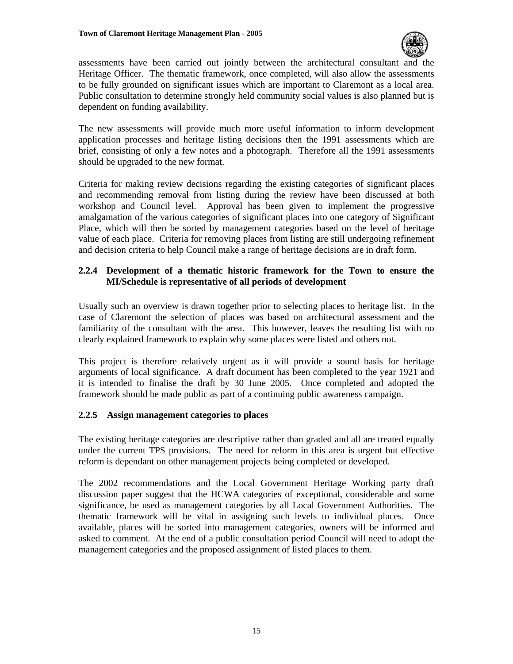

assessments have been carried out jointly between the architectural consultant and the Heritage Officer. The thematic framework, once completed, will also allow the assessments to be fully grounded on significant issues which are important to Claremont as a local area. Public consultation to determine strongly held community social values is also planned but is dependent on funding availability.

The new assessments will provide much more useful information to inform development application processes and heritage listing decisions then the 1991 assessments which are brief, consisting of only a few notes and a photograph. Therefore all the 1991 assessments should be upgraded to the new format.

Criteria for making review decisions regarding the existing categories of significant places and recommending removal from listing during the review have been discussed at both workshop and Council level. Approval has been given to implement the progressive amalgamation of the various categories of significant places into one category of Significant Place, which will then be sorted by management categories based on the level of heritage value of each place. Criteria for removing places from listing are still undergoing refinement and decision criteria to help Council make a range of heritage decisions are in draft form.

#### **2.2.4 Development of a thematic historic framework for the Town to ensure the MI/Schedule is representative of all periods of development**

Usually such an overview is drawn together prior to selecting places to heritage list. In the case of Claremont the selection of places was based on architectural assessment and the familiarity of the consultant with the area. This however, leaves the resulting list with no clearly explained framework to explain why some places were listed and others not.

This project is therefore relatively urgent as it will provide a sound basis for heritage arguments of local significance. A draft document has been completed to the year 1921 and it is intended to finalise the draft by 30 June 2005. Once completed and adopted the framework should be made public as part of a continuing public awareness campaign.

#### **2.2.5 Assign management categories to places**

The existing heritage categories are descriptive rather than graded and all are treated equally under the current TPS provisions. The need for reform in this area is urgent but effective reform is dependant on other management projects being completed or developed.

The 2002 recommendations and the Local Government Heritage Working party draft discussion paper suggest that the HCWA categories of exceptional, considerable and some significance, be used as management categories by all Local Government Authorities. The thematic framework will be vital in assigning such levels to individual places. Once available, places will be sorted into management categories, owners will be informed and asked to comment. At the end of a public consultation period Council will need to adopt the management categories and the proposed assignment of listed places to them.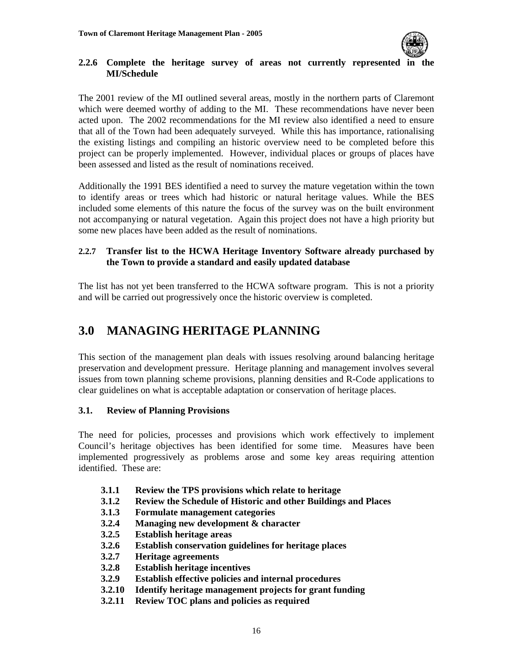

#### **2.2.6 Complete the heritage survey of areas not currently represented in the MI/Schedule**

The 2001 review of the MI outlined several areas, mostly in the northern parts of Claremont which were deemed worthy of adding to the MI. These recommendations have never been acted upon. The 2002 recommendations for the MI review also identified a need to ensure that all of the Town had been adequately surveyed. While this has importance, rationalising the existing listings and compiling an historic overview need to be completed before this project can be properly implemented. However, individual places or groups of places have been assessed and listed as the result of nominations received.

Additionally the 1991 BES identified a need to survey the mature vegetation within the town to identify areas or trees which had historic or natural heritage values. While the BES included some elements of this nature the focus of the survey was on the built environment not accompanying or natural vegetation. Again this project does not have a high priority but some new places have been added as the result of nominations.

#### **2.2.7 Transfer list to the HCWA Heritage Inventory Software already purchased by the Town to provide a standard and easily updated database**

The list has not yet been transferred to the HCWA software program. This is not a priority and will be carried out progressively once the historic overview is completed.

# **3.0 MANAGING HERITAGE PLANNING**

This section of the management plan deals with issues resolving around balancing heritage preservation and development pressure. Heritage planning and management involves several issues from town planning scheme provisions, planning densities and R-Code applications to clear guidelines on what is acceptable adaptation or conservation of heritage places.

#### **3.1. Review of Planning Provisions**

The need for policies, processes and provisions which work effectively to implement Council's heritage objectives has been identified for some time. Measures have been implemented progressively as problems arose and some key areas requiring attention identified. These are:

- **3.1.1 Review the TPS provisions which relate to heritage**
- **3.1.2 Review the Schedule of Historic and other Buildings and Places**
- **3.1.3 Formulate management categories**
- **3.2.4 Managing new development & character**
- **3.2.5 Establish heritage areas**
- **3.2.6 Establish conservation guidelines for heritage places**
- **3.2.7 Heritage agreements**
- **3.2.8 Establish heritage incentives**
- **3.2.9 Establish effective policies and internal procedures**
- **3.2.10 Identify heritage management projects for grant funding**
- **3.2.11 Review TOC plans and policies as required**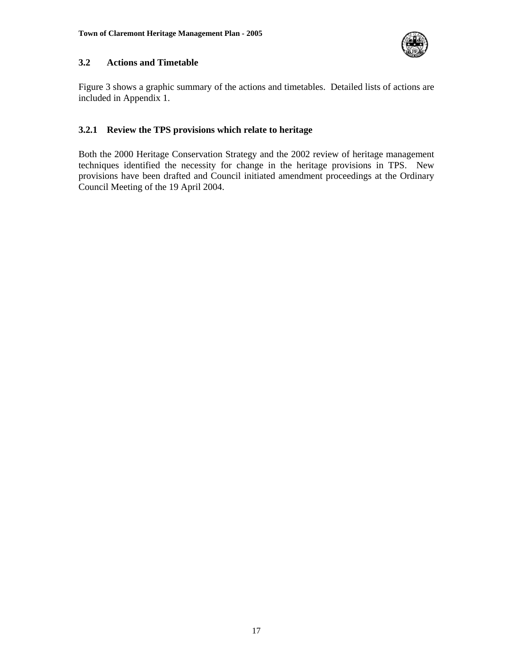

#### **3.2 Actions and Timetable**

Figure 3 shows a graphic summary of the actions and timetables. Detailed lists of actions are included in Appendix 1.

#### **3.2.1 Review the TPS provisions which relate to heritage**

Both the 2000 Heritage Conservation Strategy and the 2002 review of heritage management techniques identified the necessity for change in the heritage provisions in TPS. New provisions have been drafted and Council initiated amendment proceedings at the Ordinary Council Meeting of the 19 April 2004.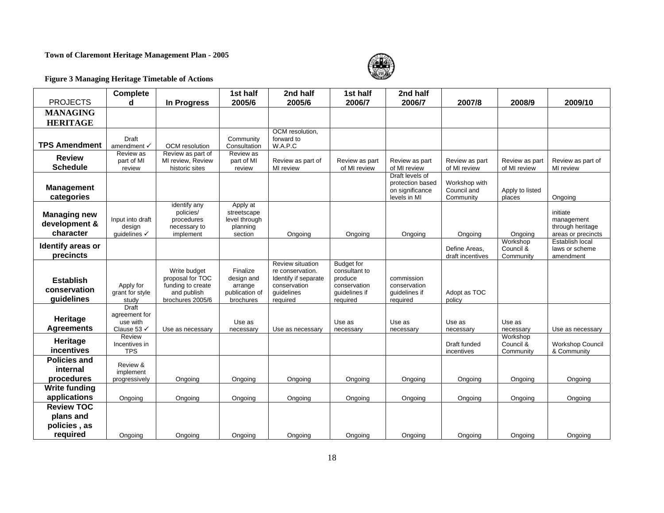#### **Town of Claremont Heritage Management Plan - 2005**



#### **Figure 3 Managing Heritage Timetable of Actions**

| <b>PROJECTS</b>                                   | <b>Complete</b><br>d                                     | In Progress                                                                              | 1st half<br>2005/6                                               | 2nd half<br>2005/6                                                                                     | 1st half<br>2006/7                                                                         | 2nd half<br>2006/7                                                     | 2007/8                                    | 2008/9                             | 2009/10                                                          |
|---------------------------------------------------|----------------------------------------------------------|------------------------------------------------------------------------------------------|------------------------------------------------------------------|--------------------------------------------------------------------------------------------------------|--------------------------------------------------------------------------------------------|------------------------------------------------------------------------|-------------------------------------------|------------------------------------|------------------------------------------------------------------|
| <b>MANAGING</b><br><b>HERITAGE</b>                |                                                          |                                                                                          |                                                                  |                                                                                                        |                                                                                            |                                                                        |                                           |                                    |                                                                  |
| <b>TPS Amendment</b>                              | Draft<br>amendment √                                     | OCM resolution                                                                           | Community<br>Consultation                                        | OCM resolution,<br>forward to<br>W.A.P.C                                                               |                                                                                            |                                                                        |                                           |                                    |                                                                  |
| <b>Review</b><br><b>Schedule</b>                  | Review as<br>part of MI<br>review                        | Review as part of<br>MI review, Review<br>historic sites                                 | Review as<br>part of MI<br>review                                | Review as part of<br>MI review                                                                         | Review as part<br>of MI review                                                             | Review as part<br>of MI review                                         | Review as part<br>of MI review            | Review as part<br>of MI review     | Review as part of<br>MI review                                   |
| <b>Management</b><br>categories                   |                                                          |                                                                                          |                                                                  |                                                                                                        |                                                                                            | Draft levels of<br>protection based<br>on significance<br>levels in MI | Workshop with<br>Council and<br>Community | Apply to listed<br>places          | Ongoing                                                          |
| <b>Managing new</b><br>development &<br>character | Input into draft<br>design<br>guidelines √               | identify any<br>policies/<br>procedures<br>necessary to<br>implement                     | Apply at<br>streetscape<br>level through<br>planning<br>section  | Ongoing                                                                                                | Ongoing                                                                                    | Ongoing                                                                | Ongoing                                   | Ongoing                            | initiate<br>management<br>through heritage<br>areas or precincts |
| Identify areas or<br>precincts                    |                                                          |                                                                                          |                                                                  |                                                                                                        |                                                                                            |                                                                        | Define Areas,<br>draft incentives         | Workshop<br>Council &<br>Community | Establish local<br>laws or scheme<br>amendment                   |
| <b>Establish</b><br>conservation<br>guidelines    | Apply for<br>grant for style<br>study                    | Write budget<br>proposal for TOC<br>funding to create<br>and publish<br>brochures 2005/6 | Finalize<br>design and<br>arrange<br>publication of<br>brochures | Review situation<br>re conservation.<br>Identify if separate<br>conservation<br>guidelines<br>required | <b>Budget for</b><br>consultant to<br>produce<br>conservation<br>guidelines if<br>required | commission<br>conservation<br>guidelines if<br>required                | Adopt as TOC<br>policy                    |                                    |                                                                  |
| Heritage<br><b>Agreements</b>                     | <b>Draft</b><br>agreement for<br>use with<br>Clause 53 √ | Use as necessary                                                                         | Use as<br>necessary                                              | Use as necessary                                                                                       | Use as<br>necessary                                                                        | Use as<br>necessary                                                    | Use as<br>necessary                       | Use as<br>necessary                | Use as necessary                                                 |
| Heritage<br>incentives                            | Review<br>Incentives in<br><b>TPS</b>                    |                                                                                          |                                                                  |                                                                                                        |                                                                                            |                                                                        | Draft funded<br>incentives                | Workshop<br>Council &<br>Community | <b>Workshop Council</b><br>& Community                           |
| <b>Policies and</b><br>internal<br>procedures     | Review &<br>implement<br>progressively                   | Ongoing                                                                                  | Ongoing                                                          | Ongoing                                                                                                | Ongoing                                                                                    | Ongoing                                                                | Ongoing                                   | Ongoing                            | Ongoing                                                          |
| <b>Write funding</b><br>applications              | Ongoing                                                  | Ongoing                                                                                  | Ongoing                                                          | Ongoing                                                                                                | Ongoing                                                                                    | Ongoing                                                                | Ongoing                                   | Ongoing                            | Ongoing                                                          |
| <b>Review TOC</b><br>plans and<br>policies, as    |                                                          |                                                                                          |                                                                  |                                                                                                        |                                                                                            |                                                                        |                                           |                                    |                                                                  |
| required                                          | Ongoing                                                  | Ongoing                                                                                  | Ongoing                                                          | Ongoing                                                                                                | Ongoing                                                                                    | Ongoing                                                                | Ongoing                                   | Ongoing                            | Ongoing                                                          |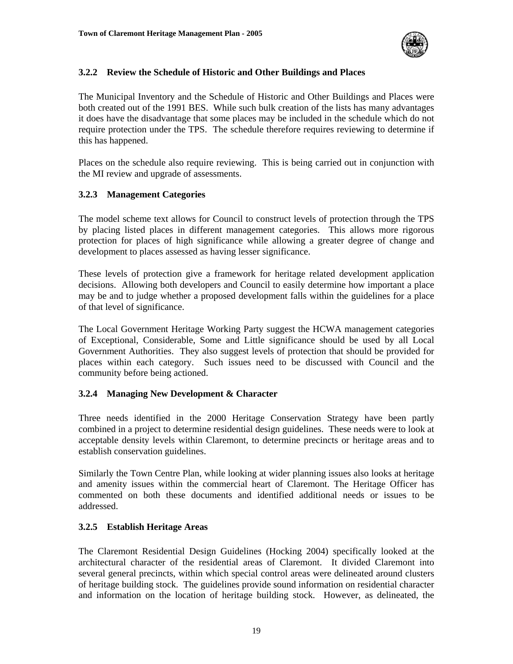

#### **3.2.2 Review the Schedule of Historic and Other Buildings and Places**

The Municipal Inventory and the Schedule of Historic and Other Buildings and Places were both created out of the 1991 BES. While such bulk creation of the lists has many advantages it does have the disadvantage that some places may be included in the schedule which do not require protection under the TPS. The schedule therefore requires reviewing to determine if this has happened.

Places on the schedule also require reviewing. This is being carried out in conjunction with the MI review and upgrade of assessments.

#### **3.2.3 Management Categories**

The model scheme text allows for Council to construct levels of protection through the TPS by placing listed places in different management categories. This allows more rigorous protection for places of high significance while allowing a greater degree of change and development to places assessed as having lesser significance.

These levels of protection give a framework for heritage related development application decisions. Allowing both developers and Council to easily determine how important a place may be and to judge whether a proposed development falls within the guidelines for a place of that level of significance.

The Local Government Heritage Working Party suggest the HCWA management categories of Exceptional, Considerable, Some and Little significance should be used by all Local Government Authorities. They also suggest levels of protection that should be provided for places within each category. Such issues need to be discussed with Council and the community before being actioned.

#### **3.2.4 Managing New Development & Character**

Three needs identified in the 2000 Heritage Conservation Strategy have been partly combined in a project to determine residential design guidelines. These needs were to look at acceptable density levels within Claremont, to determine precincts or heritage areas and to establish conservation guidelines.

Similarly the Town Centre Plan, while looking at wider planning issues also looks at heritage and amenity issues within the commercial heart of Claremont. The Heritage Officer has commented on both these documents and identified additional needs or issues to be addressed.

#### **3.2.5 Establish Heritage Areas**

The Claremont Residential Design Guidelines (Hocking 2004) specifically looked at the architectural character of the residential areas of Claremont. It divided Claremont into several general precincts, within which special control areas were delineated around clusters of heritage building stock. The guidelines provide sound information on residential character and information on the location of heritage building stock. However, as delineated, the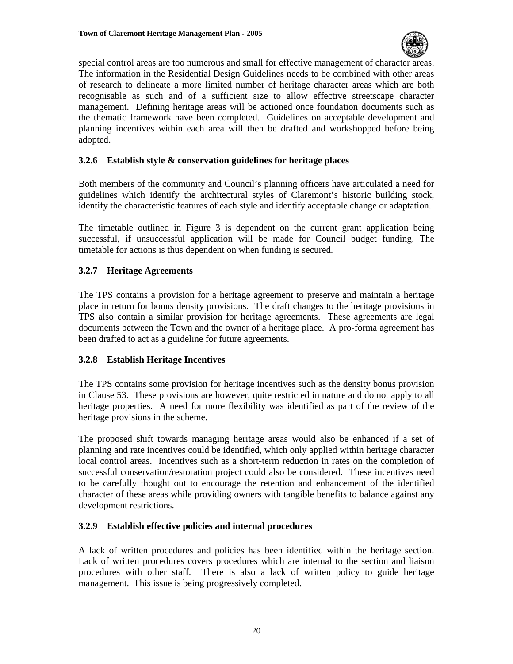

special control areas are too numerous and small for effective management of character areas. The information in the Residential Design Guidelines needs to be combined with other areas of research to delineate a more limited number of heritage character areas which are both recognisable as such and of a sufficient size to allow effective streetscape character management. Defining heritage areas will be actioned once foundation documents such as the thematic framework have been completed. Guidelines on acceptable development and planning incentives within each area will then be drafted and workshopped before being adopted.

#### **3.2.6 Establish style & conservation guidelines for heritage places**

Both members of the community and Council's planning officers have articulated a need for guidelines which identify the architectural styles of Claremont's historic building stock, identify the characteristic features of each style and identify acceptable change or adaptation.

The timetable outlined in Figure 3 is dependent on the current grant application being successful, if unsuccessful application will be made for Council budget funding. The timetable for actions is thus dependent on when funding is secured.

#### **3.2.7 Heritage Agreements**

The TPS contains a provision for a heritage agreement to preserve and maintain a heritage place in return for bonus density provisions. The draft changes to the heritage provisions in TPS also contain a similar provision for heritage agreements. These agreements are legal documents between the Town and the owner of a heritage place. A pro-forma agreement has been drafted to act as a guideline for future agreements.

#### **3.2.8 Establish Heritage Incentives**

The TPS contains some provision for heritage incentives such as the density bonus provision in Clause 53. These provisions are however, quite restricted in nature and do not apply to all heritage properties. A need for more flexibility was identified as part of the review of the heritage provisions in the scheme.

The proposed shift towards managing heritage areas would also be enhanced if a set of planning and rate incentives could be identified, which only applied within heritage character local control areas. Incentives such as a short-term reduction in rates on the completion of successful conservation/restoration project could also be considered. These incentives need to be carefully thought out to encourage the retention and enhancement of the identified character of these areas while providing owners with tangible benefits to balance against any development restrictions.

#### **3.2.9 Establish effective policies and internal procedures**

A lack of written procedures and policies has been identified within the heritage section. Lack of written procedures covers procedures which are internal to the section and liaison procedures with other staff. There is also a lack of written policy to guide heritage management. This issue is being progressively completed.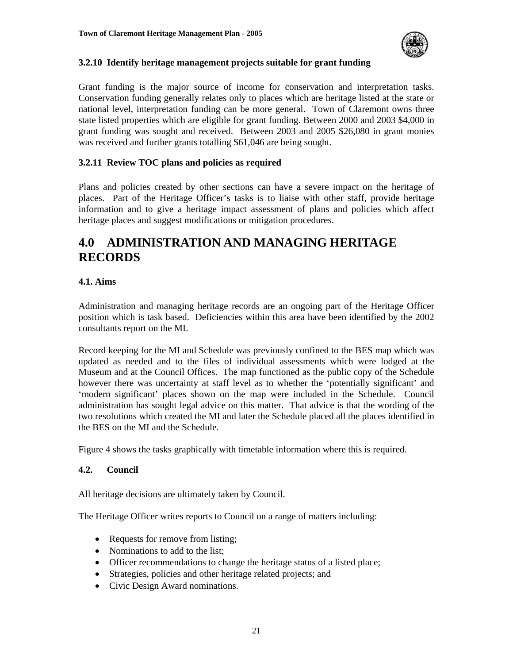

#### **3.2.10 Identify heritage management projects suitable for grant funding**

Grant funding is the major source of income for conservation and interpretation tasks. Conservation funding generally relates only to places which are heritage listed at the state or national level, interpretation funding can be more general. Town of Claremont owns three state listed properties which are eligible for grant funding. Between 2000 and 2003 \$4,000 in grant funding was sought and received. Between 2003 and 2005 \$26,080 in grant monies was received and further grants totalling \$61,046 are being sought.

#### **3.2.11 Review TOC plans and policies as required**

Plans and policies created by other sections can have a severe impact on the heritage of places. Part of the Heritage Officer's tasks is to liaise with other staff, provide heritage information and to give a heritage impact assessment of plans and policies which affect heritage places and suggest modifications or mitigation procedures.

## **4.0 ADMINISTRATION AND MANAGING HERITAGE RECORDS**

#### **4.1. Aims**

Administration and managing heritage records are an ongoing part of the Heritage Officer position which is task based. Deficiencies within this area have been identified by the 2002 consultants report on the MI.

Record keeping for the MI and Schedule was previously confined to the BES map which was updated as needed and to the files of individual assessments which were lodged at the Museum and at the Council Offices. The map functioned as the public copy of the Schedule however there was uncertainty at staff level as to whether the 'potentially significant' and 'modern significant' places shown on the map were included in the Schedule. Council administration has sought legal advice on this matter. That advice is that the wording of the two resolutions which created the MI and later the Schedule placed all the places identified in the BES on the MI and the Schedule.

Figure 4 shows the tasks graphically with timetable information where this is required.

#### **4.2. Council**

All heritage decisions are ultimately taken by Council.

The Heritage Officer writes reports to Council on a range of matters including:

- Requests for remove from listing;
- Nominations to add to the list:
- Officer recommendations to change the heritage status of a listed place;
- Strategies, policies and other heritage related projects; and
- Civic Design Award nominations.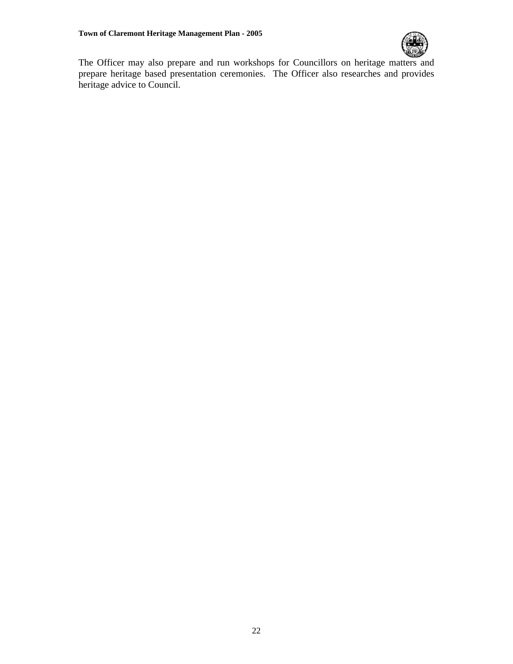

The Officer may also prepare and run workshops for Councillors on heritage matters and prepare heritage based presentation ceremonies. The Officer also researches and provides heritage advice to Council.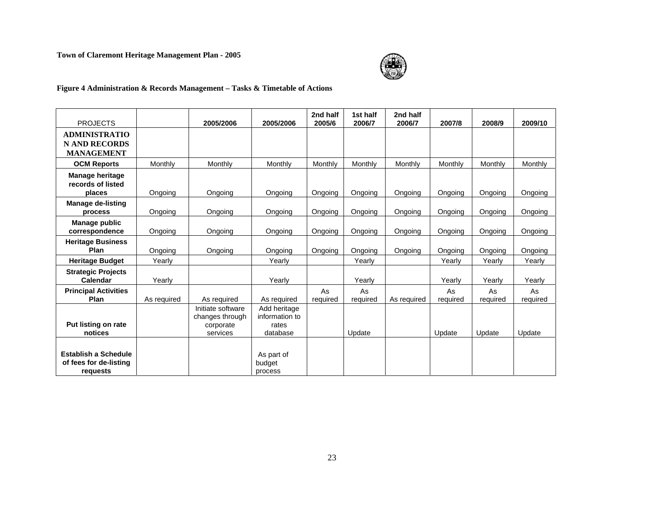#### **Town of Claremont Heritage Management Plan - 2005**



#### **Figure 4 Administration & Records Management – Tasks & Timetable of Actions**

|                                                                   |             |                                                               |                                                     | 2nd half       | 1st half       | 2nd half    |                |                |                |
|-------------------------------------------------------------------|-------------|---------------------------------------------------------------|-----------------------------------------------------|----------------|----------------|-------------|----------------|----------------|----------------|
| <b>PROJECTS</b>                                                   |             | 2005/2006                                                     | 2005/2006                                           | 2005/6         | 2006/7         | 2006/7      | 2007/8         | 2008/9         | 2009/10        |
| <b>ADMINISTRATIO</b><br><b>N AND RECORDS</b><br><b>MANAGEMENT</b> |             |                                                               |                                                     |                |                |             |                |                |                |
| <b>OCM Reports</b>                                                | Monthly     | Monthly                                                       | Monthly                                             | Monthly        | Monthly        | Monthly     | Monthly        | Monthly        | Monthly        |
| <b>Manage heritage</b><br>records of listed<br>places             | Ongoing     | Ongoing                                                       | Ongoing                                             | Ongoing        | Ongoing        | Ongoing     | Ongoing        | Ongoing        | Ongoing        |
| <b>Manage de-listing</b><br>process                               | Ongoing     | Ongoing                                                       | Ongoing                                             | Ongoing        | Ongoing        | Ongoing     | Ongoing        | Ongoing        | Ongoing        |
| Manage public<br>correspondence                                   | Ongoing     | Ongoing                                                       | Ongoing                                             | Ongoing        | Ongoing        | Ongoing     | Ongoing        | Ongoing        | Ongoing        |
| <b>Heritage Business</b><br>Plan                                  | Ongoing     | Ongoing                                                       | Ongoing                                             | Ongoing        | Ongoing        | Ongoing     | Ongoing        | Ongoing        | Ongoing        |
| <b>Heritage Budget</b>                                            | Yearly      |                                                               | Yearly                                              |                | Yearly         |             | Yearly         | Yearly         | Yearly         |
| <b>Strategic Projects</b><br>Calendar                             | Yearly      |                                                               | Yearly                                              |                | Yearly         |             | Yearly         | Yearly         | Yearly         |
| <b>Principal Activities</b><br>Plan                               | As required | As required                                                   | As required                                         | As<br>required | As<br>required | As required | As<br>required | As<br>required | As<br>required |
| Put listing on rate<br>notices                                    |             | Initiate software<br>changes through<br>corporate<br>services | Add heritage<br>information to<br>rates<br>database |                | Update         |             | Update         | Update         | Update         |
| <b>Establish a Schedule</b><br>of fees for de-listing<br>requests |             |                                                               | As part of<br>budget<br>process                     |                |                |             |                |                |                |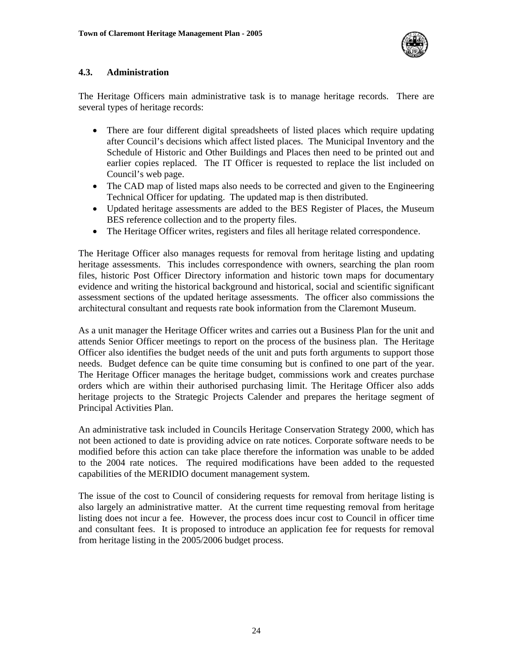

#### **4.3. Administration**

The Heritage Officers main administrative task is to manage heritage records. There are several types of heritage records:

- There are four different digital spreadsheets of listed places which require updating after Council's decisions which affect listed places. The Municipal Inventory and the Schedule of Historic and Other Buildings and Places then need to be printed out and earlier copies replaced. The IT Officer is requested to replace the list included on Council's web page.
- The CAD map of listed maps also needs to be corrected and given to the Engineering Technical Officer for updating. The updated map is then distributed.
- Updated heritage assessments are added to the BES Register of Places, the Museum BES reference collection and to the property files.
- The Heritage Officer writes, registers and files all heritage related correspondence.

The Heritage Officer also manages requests for removal from heritage listing and updating heritage assessments. This includes correspondence with owners, searching the plan room files, historic Post Officer Directory information and historic town maps for documentary evidence and writing the historical background and historical, social and scientific significant assessment sections of the updated heritage assessments. The officer also commissions the architectural consultant and requests rate book information from the Claremont Museum.

As a unit manager the Heritage Officer writes and carries out a Business Plan for the unit and attends Senior Officer meetings to report on the process of the business plan. The Heritage Officer also identifies the budget needs of the unit and puts forth arguments to support those needs. Budget defence can be quite time consuming but is confined to one part of the year. The Heritage Officer manages the heritage budget, commissions work and creates purchase orders which are within their authorised purchasing limit. The Heritage Officer also adds heritage projects to the Strategic Projects Calender and prepares the heritage segment of Principal Activities Plan.

An administrative task included in Councils Heritage Conservation Strategy 2000, which has not been actioned to date is providing advice on rate notices. Corporate software needs to be modified before this action can take place therefore the information was unable to be added to the 2004 rate notices. The required modifications have been added to the requested capabilities of the MERIDIO document management system.

The issue of the cost to Council of considering requests for removal from heritage listing is also largely an administrative matter. At the current time requesting removal from heritage listing does not incur a fee. However, the process does incur cost to Council in officer time and consultant fees. It is proposed to introduce an application fee for requests for removal from heritage listing in the 2005/2006 budget process.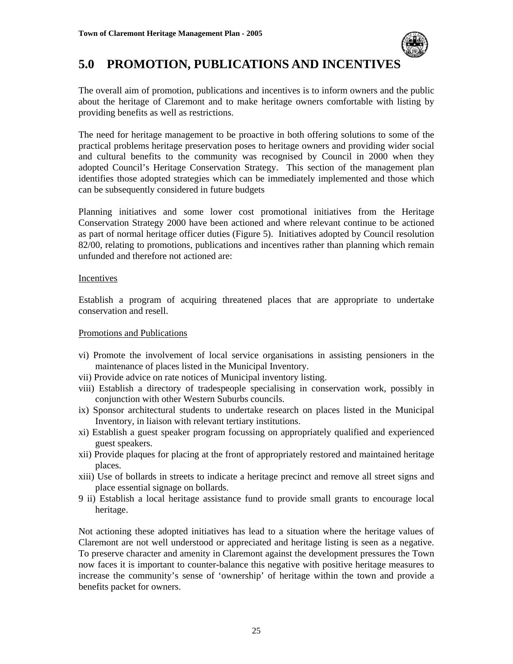

### **5.0 PROMOTION, PUBLICATIONS AND INCENTIVES**

The overall aim of promotion, publications and incentives is to inform owners and the public about the heritage of Claremont and to make heritage owners comfortable with listing by providing benefits as well as restrictions.

The need for heritage management to be proactive in both offering solutions to some of the practical problems heritage preservation poses to heritage owners and providing wider social and cultural benefits to the community was recognised by Council in 2000 when they adopted Council's Heritage Conservation Strategy. This section of the management plan identifies those adopted strategies which can be immediately implemented and those which can be subsequently considered in future budgets

Planning initiatives and some lower cost promotional initiatives from the Heritage Conservation Strategy 2000 have been actioned and where relevant continue to be actioned as part of normal heritage officer duties (Figure 5). Initiatives adopted by Council resolution 82/00, relating to promotions, publications and incentives rather than planning which remain unfunded and therefore not actioned are:

#### Incentives

Establish a program of acquiring threatened places that are appropriate to undertake conservation and resell.

#### Promotions and Publications

- vi) Promote the involvement of local service organisations in assisting pensioners in the maintenance of places listed in the Municipal Inventory.
- vii) Provide advice on rate notices of Municipal inventory listing.
- viii) Establish a directory of tradespeople specialising in conservation work, possibly in conjunction with other Western Suburbs councils.
- ix) Sponsor architectural students to undertake research on places listed in the Municipal Inventory, in liaison with relevant tertiary institutions.
- xi) Establish a guest speaker program focussing on appropriately qualified and experienced guest speakers.
- xii) Provide plaques for placing at the front of appropriately restored and maintained heritage places.
- xiii) Use of bollards in streets to indicate a heritage precinct and remove all street signs and place essential signage on bollards.
- 9 ii) Establish a local heritage assistance fund to provide small grants to encourage local heritage.

Not actioning these adopted initiatives has lead to a situation where the heritage values of Claremont are not well understood or appreciated and heritage listing is seen as a negative. To preserve character and amenity in Claremont against the development pressures the Town now faces it is important to counter-balance this negative with positive heritage measures to increase the community's sense of 'ownership' of heritage within the town and provide a benefits packet for owners.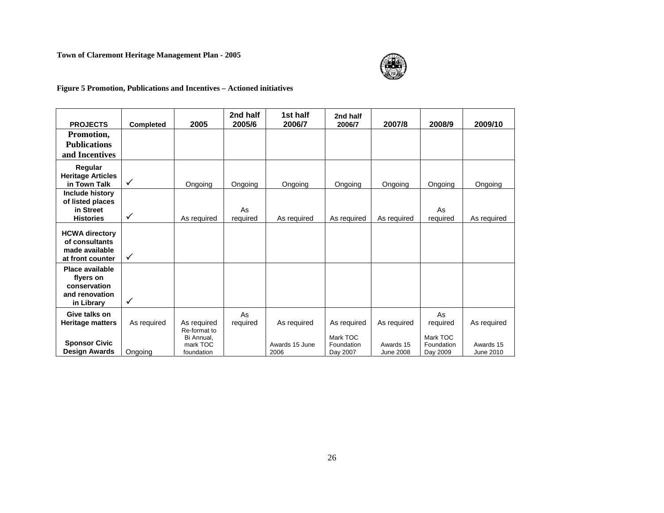#### **Town of Claremont Heritage Management Plan - 2005**



#### **Figure 5 Promotion, Publications and Incentives – Actioned initiatives**

|                               |              |                        | 2nd half       | 1st half       | 2nd half               |                  |                        |             |
|-------------------------------|--------------|------------------------|----------------|----------------|------------------------|------------------|------------------------|-------------|
| <b>PROJECTS</b>               | Completed    | 2005                   | 2005/6         | 2006/7         | 2006/7                 | 2007/8           | 2008/9                 | 2009/10     |
| Promotion,                    |              |                        |                |                |                        |                  |                        |             |
| <b>Publications</b>           |              |                        |                |                |                        |                  |                        |             |
| and Incentives                |              |                        |                |                |                        |                  |                        |             |
| Regular                       |              |                        |                |                |                        |                  |                        |             |
| <b>Heritage Articles</b>      |              |                        |                |                |                        |                  |                        |             |
| in Town Talk                  | $\checkmark$ | Ongoing                | Ongoing        | Ongoing        | Ongoing                | Ongoing          | Ongoing                | Ongoing     |
| Include history               |              |                        |                |                |                        |                  |                        |             |
| of listed places              |              |                        |                |                |                        |                  |                        |             |
| in Street<br><b>Histories</b> | $\checkmark$ | As required            | As<br>required | As required    | As required            | As required      | As<br>required         | As required |
|                               |              |                        |                |                |                        |                  |                        |             |
| <b>HCWA directory</b>         |              |                        |                |                |                        |                  |                        |             |
| of consultants                |              |                        |                |                |                        |                  |                        |             |
| made available                | $\checkmark$ |                        |                |                |                        |                  |                        |             |
| at front counter              |              |                        |                |                |                        |                  |                        |             |
| Place available<br>flyers on  |              |                        |                |                |                        |                  |                        |             |
| conservation                  |              |                        |                |                |                        |                  |                        |             |
| and renovation                |              |                        |                |                |                        |                  |                        |             |
| in Library                    | $\checkmark$ |                        |                |                |                        |                  |                        |             |
| Give talks on                 |              |                        | As             |                |                        |                  | As                     |             |
| <b>Heritage matters</b>       | As required  | As required            | required       | As required    | As required            | As required      | required               | As required |
|                               |              | Re-format to           |                |                |                        |                  |                        |             |
| <b>Sponsor Civic</b>          |              | Bi Annual.<br>mark TOC |                | Awards 15 June | Mark TOC<br>Foundation | Awards 15        | Mark TOC<br>Foundation | Awards 15   |
| <b>Design Awards</b>          | Ongoing      | foundation             |                | 2006           | Day 2007               | <b>June 2008</b> | Day 2009               | June 2010   |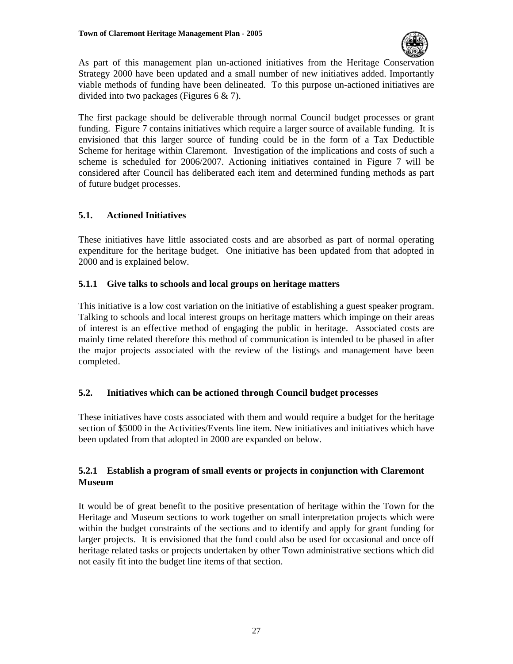

As part of this management plan un-actioned initiatives from the Heritage Conservation Strategy 2000 have been updated and a small number of new initiatives added. Importantly viable methods of funding have been delineated. To this purpose un-actioned initiatives are divided into two packages (Figures 6 & 7).

The first package should be deliverable through normal Council budget processes or grant funding. Figure 7 contains initiatives which require a larger source of available funding. It is envisioned that this larger source of funding could be in the form of a Tax Deductible Scheme for heritage within Claremont. Investigation of the implications and costs of such a scheme is scheduled for 2006/2007. Actioning initiatives contained in Figure 7 will be considered after Council has deliberated each item and determined funding methods as part of future budget processes.

#### **5.1. Actioned Initiatives**

These initiatives have little associated costs and are absorbed as part of normal operating expenditure for the heritage budget. One initiative has been updated from that adopted in 2000 and is explained below.

#### **5.1.1 Give talks to schools and local groups on heritage matters**

This initiative is a low cost variation on the initiative of establishing a guest speaker program. Talking to schools and local interest groups on heritage matters which impinge on their areas of interest is an effective method of engaging the public in heritage. Associated costs are mainly time related therefore this method of communication is intended to be phased in after the major projects associated with the review of the listings and management have been completed.

#### **5.2. Initiatives which can be actioned through Council budget processes**

These initiatives have costs associated with them and would require a budget for the heritage section of \$5000 in the Activities/Events line item. New initiatives and initiatives which have been updated from that adopted in 2000 are expanded on below.

#### **5.2.1 Establish a program of small events or projects in conjunction with Claremont Museum**

It would be of great benefit to the positive presentation of heritage within the Town for the Heritage and Museum sections to work together on small interpretation projects which were within the budget constraints of the sections and to identify and apply for grant funding for larger projects. It is envisioned that the fund could also be used for occasional and once off heritage related tasks or projects undertaken by other Town administrative sections which did not easily fit into the budget line items of that section.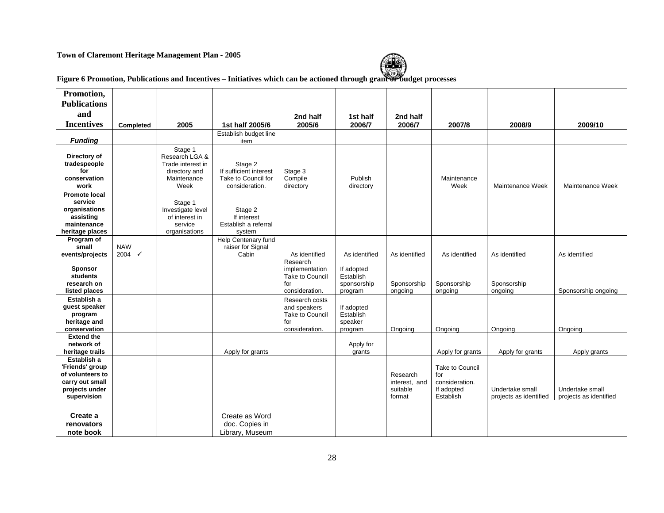#### **Town of Claremont Heritage Management Plan - 2005**



# **Figure 6 Promotion, Publications and Incentives – Initiatives which can be actioned through grant or budget processes**

| Promotion,                                                                                                         |                                 |                                                                                        |                                                                            |                                                                                   |                                                   |                                                 |                                                                     |                                           |                                           |
|--------------------------------------------------------------------------------------------------------------------|---------------------------------|----------------------------------------------------------------------------------------|----------------------------------------------------------------------------|-----------------------------------------------------------------------------------|---------------------------------------------------|-------------------------------------------------|---------------------------------------------------------------------|-------------------------------------------|-------------------------------------------|
| <b>Publications</b>                                                                                                |                                 |                                                                                        |                                                                            |                                                                                   |                                                   |                                                 |                                                                     |                                           |                                           |
| and                                                                                                                |                                 |                                                                                        |                                                                            | 2nd half                                                                          | 1st half                                          | 2nd half                                        |                                                                     |                                           |                                           |
| <b>Incentives</b>                                                                                                  | Completed                       | 2005                                                                                   | 1st half 2005/6                                                            | 2005/6                                                                            | 2006/7                                            | 2006/7                                          | 2007/8                                                              | 2008/9                                    | 2009/10                                   |
|                                                                                                                    |                                 |                                                                                        | Establish budget line                                                      |                                                                                   |                                                   |                                                 |                                                                     |                                           |                                           |
| <b>Funding</b>                                                                                                     |                                 |                                                                                        | item                                                                       |                                                                                   |                                                   |                                                 |                                                                     |                                           |                                           |
| Directory of<br>tradespeople<br>for<br>conservation<br>work                                                        |                                 | Stage 1<br>Research LGA &<br>Trade interest in<br>directory and<br>Maintenance<br>Week | Stage 2<br>If sufficient interest<br>Take to Council for<br>consideration. | Stage 3<br>Compile<br>directory                                                   | Publish<br>directory                              |                                                 | Maintenance<br>Week                                                 | Maintenance Week                          | Maintenance Week                          |
| <b>Promote local</b><br>service<br>organisations<br>assisting<br>maintenance<br>heritage places                    |                                 | Stage 1<br>Investigate level<br>of interest in<br>service<br>organisations             | Stage 2<br>If interest<br>Establish a referral<br>system                   |                                                                                   |                                                   |                                                 |                                                                     |                                           |                                           |
| Program of<br>small<br>events/projects                                                                             | <b>NAW</b><br>2004 $\checkmark$ |                                                                                        | Help Centenary fund<br>raiser for Signal<br>Cabin                          | As identified                                                                     | As identified                                     | As identified                                   | As identified                                                       | As identified                             | As identified                             |
| Sponsor<br>students<br>research on<br>listed places                                                                |                                 |                                                                                        |                                                                            | Research<br>implementation<br>Take to Council<br>for<br>consideration.            | If adopted<br>Establish<br>sponsorship<br>program | Sponsorship<br>ongoing                          | Sponsorship<br>ongoing                                              | Sponsorship<br>ongoing                    | Sponsorship ongoing                       |
| Establish a<br>guest speaker<br>program<br>heritage and<br>conservation                                            |                                 |                                                                                        |                                                                            | Research costs<br>and speakers<br><b>Take to Council</b><br>for<br>consideration. | If adopted<br>Establish<br>speaker<br>program     | Ongoing                                         | Ongoing                                                             | Ongoing                                   | Ongoing                                   |
| <b>Extend the</b><br>network of<br>heritage trails                                                                 |                                 |                                                                                        | Apply for grants                                                           |                                                                                   | Apply for<br>grants                               |                                                 | Apply for grants                                                    | Apply for grants                          | Apply grants                              |
| Establish a<br>'Friends' group<br>of volunteers to<br>carry out small<br>projects under<br>supervision<br>Create a |                                 |                                                                                        | Create as Word                                                             |                                                                                   |                                                   | Research<br>interest, and<br>suitable<br>format | Take to Council<br>for<br>consideration.<br>If adopted<br>Establish | Undertake small<br>projects as identified | Undertake small<br>projects as identified |
| renovators<br>note book                                                                                            |                                 |                                                                                        | doc. Copies in<br>Library, Museum                                          |                                                                                   |                                                   |                                                 |                                                                     |                                           |                                           |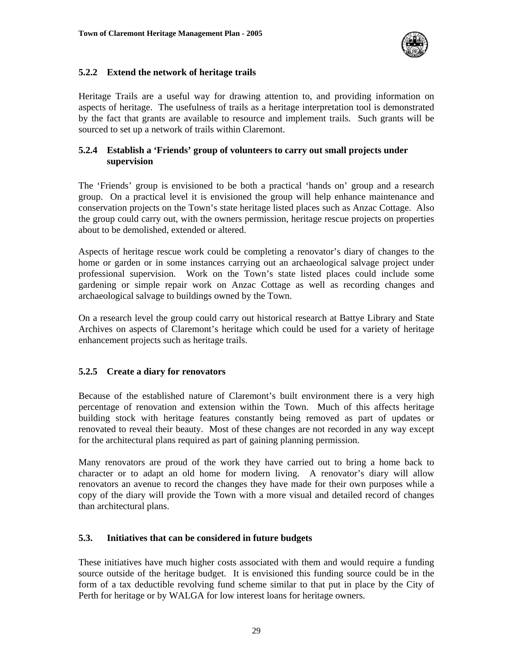

#### **5.2.2 Extend the network of heritage trails**

Heritage Trails are a useful way for drawing attention to, and providing information on aspects of heritage. The usefulness of trails as a heritage interpretation tool is demonstrated by the fact that grants are available to resource and implement trails. Such grants will be sourced to set up a network of trails within Claremont.

#### **5.2.4 Establish a 'Friends' group of volunteers to carry out small projects under supervision**

The 'Friends' group is envisioned to be both a practical 'hands on' group and a research group. On a practical level it is envisioned the group will help enhance maintenance and conservation projects on the Town's state heritage listed places such as Anzac Cottage. Also the group could carry out, with the owners permission, heritage rescue projects on properties about to be demolished, extended or altered.

Aspects of heritage rescue work could be completing a renovator's diary of changes to the home or garden or in some instances carrying out an archaeological salvage project under professional supervision. Work on the Town's state listed places could include some gardening or simple repair work on Anzac Cottage as well as recording changes and archaeological salvage to buildings owned by the Town.

On a research level the group could carry out historical research at Battye Library and State Archives on aspects of Claremont's heritage which could be used for a variety of heritage enhancement projects such as heritage trails.

#### **5.2.5 Create a diary for renovators**

Because of the established nature of Claremont's built environment there is a very high percentage of renovation and extension within the Town. Much of this affects heritage building stock with heritage features constantly being removed as part of updates or renovated to reveal their beauty. Most of these changes are not recorded in any way except for the architectural plans required as part of gaining planning permission.

Many renovators are proud of the work they have carried out to bring a home back to character or to adapt an old home for modern living. A renovator's diary will allow renovators an avenue to record the changes they have made for their own purposes while a copy of the diary will provide the Town with a more visual and detailed record of changes than architectural plans.

#### **5.3. Initiatives that can be considered in future budgets**

These initiatives have much higher costs associated with them and would require a funding source outside of the heritage budget. It is envisioned this funding source could be in the form of a tax deductible revolving fund scheme similar to that put in place by the City of Perth for heritage or by WALGA for low interest loans for heritage owners.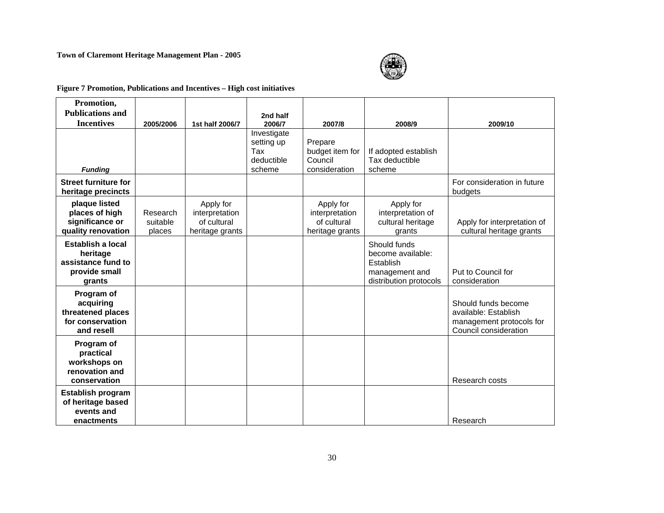#### **Town of Claremont Heritage Management Plan - 2005**



**Figure 7 Promotion, Publications and Incentives – High cost initiatives**

| Promotion,                                                                     |                                |                                                               |                                                          |                                                               |                                                                                            |                                                                                                  |
|--------------------------------------------------------------------------------|--------------------------------|---------------------------------------------------------------|----------------------------------------------------------|---------------------------------------------------------------|--------------------------------------------------------------------------------------------|--------------------------------------------------------------------------------------------------|
| <b>Publications and</b>                                                        |                                |                                                               | 2nd half                                                 |                                                               |                                                                                            |                                                                                                  |
| <b>Incentives</b>                                                              | 2005/2006                      | 1st half 2006/7                                               | 2006/7                                                   | 2007/8                                                        | 2008/9                                                                                     | 2009/10                                                                                          |
| <b>Funding</b>                                                                 |                                |                                                               | Investigate<br>setting up<br>Tax<br>deductible<br>scheme | Prepare<br>budget item for<br>Council<br>consideration        | If adopted establish<br>Tax deductible<br>scheme                                           |                                                                                                  |
| <b>Street furniture for</b><br>heritage precincts                              |                                |                                                               |                                                          |                                                               |                                                                                            | For consideration in future<br>budgets                                                           |
| plaque listed<br>places of high<br>significance or<br>quality renovation       | Research<br>suitable<br>places | Apply for<br>interpretation<br>of cultural<br>heritage grants |                                                          | Apply for<br>interpretation<br>of cultural<br>heritage grants | Apply for<br>interpretation of<br>cultural heritage<br>grants                              | Apply for interpretation of<br>cultural heritage grants                                          |
| Establish a local<br>heritage<br>assistance fund to<br>provide small<br>grants |                                |                                                               |                                                          |                                                               | Should funds<br>become available:<br>Establish<br>management and<br>distribution protocols | Put to Council for<br>consideration                                                              |
| Program of<br>acquiring<br>threatened places<br>for conservation<br>and resell |                                |                                                               |                                                          |                                                               |                                                                                            | Should funds become<br>available: Establish<br>management protocols for<br>Council consideration |
| Program of<br>practical<br>workshops on<br>renovation and<br>conservation      |                                |                                                               |                                                          |                                                               |                                                                                            | Research costs                                                                                   |
| <b>Establish program</b><br>of heritage based<br>events and<br>enactments      |                                |                                                               |                                                          |                                                               |                                                                                            | Research                                                                                         |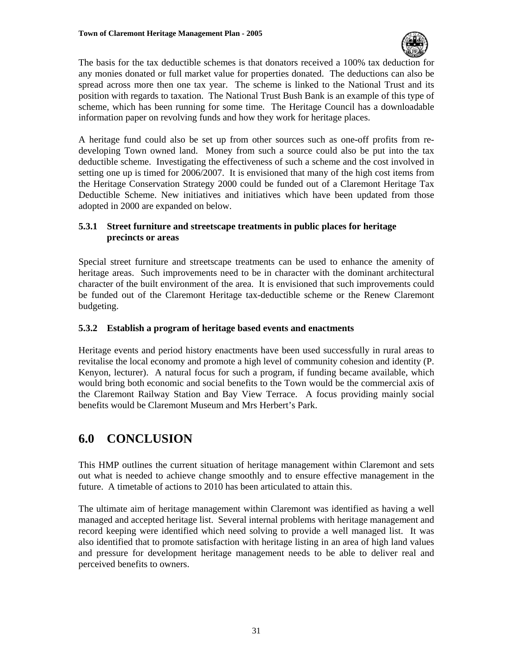

The basis for the tax deductible schemes is that donators received a 100% tax deduction for any monies donated or full market value for properties donated. The deductions can also be spread across more then one tax year. The scheme is linked to the National Trust and its position with regards to taxation. The National Trust Bush Bank is an example of this type of scheme, which has been running for some time. The Heritage Council has a downloadable information paper on revolving funds and how they work for heritage places.

A heritage fund could also be set up from other sources such as one-off profits from redeveloping Town owned land. Money from such a source could also be put into the tax deductible scheme. Investigating the effectiveness of such a scheme and the cost involved in setting one up is timed for 2006/2007. It is envisioned that many of the high cost items from the Heritage Conservation Strategy 2000 could be funded out of a Claremont Heritage Tax Deductible Scheme. New initiatives and initiatives which have been updated from those adopted in 2000 are expanded on below.

#### **5.3.1 Street furniture and streetscape treatments in public places for heritage precincts or areas**

Special street furniture and streetscape treatments can be used to enhance the amenity of heritage areas. Such improvements need to be in character with the dominant architectural character of the built environment of the area. It is envisioned that such improvements could be funded out of the Claremont Heritage tax-deductible scheme or the Renew Claremont budgeting.

#### **5.3.2 Establish a program of heritage based events and enactments**

Heritage events and period history enactments have been used successfully in rural areas to revitalise the local economy and promote a high level of community cohesion and identity (P. Kenyon, lecturer). A natural focus for such a program, if funding became available, which would bring both economic and social benefits to the Town would be the commercial axis of the Claremont Railway Station and Bay View Terrace. A focus providing mainly social benefits would be Claremont Museum and Mrs Herbert's Park.

# **6.0 CONCLUSION**

This HMP outlines the current situation of heritage management within Claremont and sets out what is needed to achieve change smoothly and to ensure effective management in the future. A timetable of actions to 2010 has been articulated to attain this.

The ultimate aim of heritage management within Claremont was identified as having a well managed and accepted heritage list. Several internal problems with heritage management and record keeping were identified which need solving to provide a well managed list. It was also identified that to promote satisfaction with heritage listing in an area of high land values and pressure for development heritage management needs to be able to deliver real and perceived benefits to owners.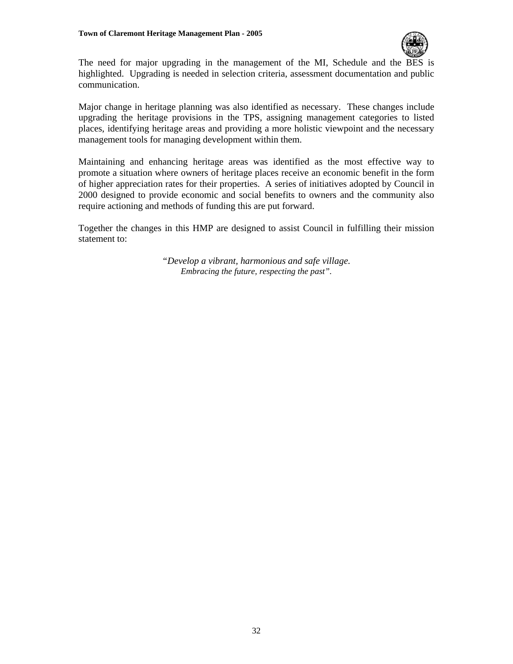

The need for major upgrading in the management of the MI, Schedule and the BES is highlighted. Upgrading is needed in selection criteria, assessment documentation and public communication.

Major change in heritage planning was also identified as necessary. These changes include upgrading the heritage provisions in the TPS, assigning management categories to listed places, identifying heritage areas and providing a more holistic viewpoint and the necessary management tools for managing development within them.

Maintaining and enhancing heritage areas was identified as the most effective way to promote a situation where owners of heritage places receive an economic benefit in the form of higher appreciation rates for their properties. A series of initiatives adopted by Council in 2000 designed to provide economic and social benefits to owners and the community also require actioning and methods of funding this are put forward.

Together the changes in this HMP are designed to assist Council in fulfilling their mission statement to:

> *"Develop a vibrant, harmonious and safe village. Embracing the future, respecting the past".*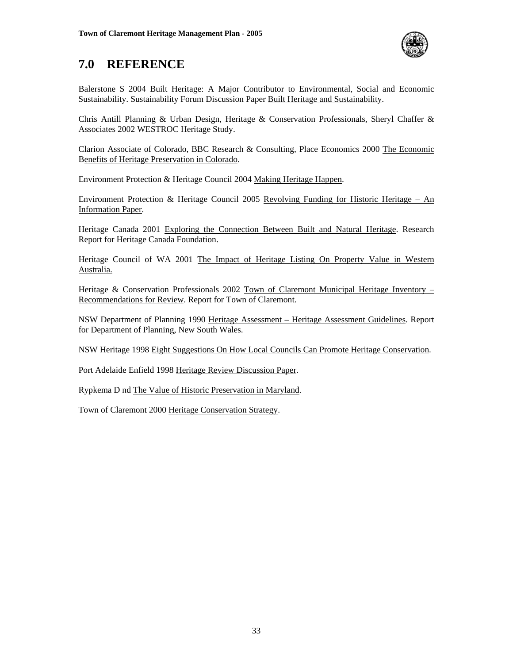

## **7.0 REFERENCE**

Balerstone S 2004 Built Heritage: A Major Contributor to Environmental, Social and Economic Sustainability. Sustainability Forum Discussion Paper Built Heritage and Sustainability.

Chris Antill Planning & Urban Design, Heritage & Conservation Professionals, Sheryl Chaffer & Associates 2002 WESTROC Heritage Study.

Clarion Associate of Colorado, BBC Research & Consulting, Place Economics 2000 The Economic Benefits of Heritage Preservation in Colorado.

Environment Protection & Heritage Council 2004 Making Heritage Happen.

Environment Protection & Heritage Council 2005 Revolving Funding for Historic Heritage – An Information Paper.

Heritage Canada 2001 Exploring the Connection Between Built and Natural Heritage. Research Report for Heritage Canada Foundation.

Heritage Council of WA 2001 The Impact of Heritage Listing On Property Value in Western Australia.

Heritage & Conservation Professionals 2002 Town of Claremont Municipal Heritage Inventory – Recommendations for Review. Report for Town of Claremont.

NSW Department of Planning 1990 Heritage Assessment – Heritage Assessment Guidelines. Report for Department of Planning, New South Wales.

NSW Heritage 1998 Eight Suggestions On How Local Councils Can Promote Heritage Conservation.

Port Adelaide Enfield 1998 Heritage Review Discussion Paper.

Rypkema D nd The Value of Historic Preservation in Maryland.

Town of Claremont 2000 Heritage Conservation Strategy.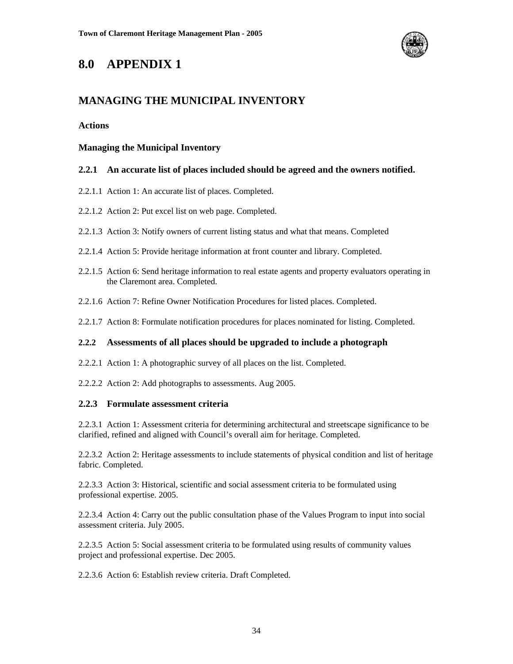

### **8.0 APPENDIX 1**

### **MANAGING THE MUNICIPAL INVENTORY**

#### **Actions**

#### **Managing the Municipal Inventory**

#### **2.2.1 An accurate list of places included should be agreed and the owners notified.**

- 2.2.1.1 Action 1: An accurate list of places. Completed.
- 2.2.1.2 Action 2: Put excel list on web page. Completed.
- 2.2.1.3 Action 3: Notify owners of current listing status and what that means. Completed
- 2.2.1.4 Action 5: Provide heritage information at front counter and library. Completed.
- 2.2.1.5 Action 6: Send heritage information to real estate agents and property evaluators operating in the Claremont area. Completed.
- 2.2.1.6 Action 7: Refine Owner Notification Procedures for listed places. Completed.
- 2.2.1.7 Action 8: Formulate notification procedures for places nominated for listing. Completed.

#### **2.2.2 Assessments of all places should be upgraded to include a photograph**

- 2.2.2.1 Action 1: A photographic survey of all places on the list. Completed.
- 2.2.2.2 Action 2: Add photographs to assessments. Aug 2005.

#### **2.2.3 Formulate assessment criteria**

2.2.3.1 Action 1: Assessment criteria for determining architectural and streetscape significance to be clarified, refined and aligned with Council's overall aim for heritage. Completed.

2.2.3.2 Action 2: Heritage assessments to include statements of physical condition and list of heritage fabric. Completed.

2.2.3.3 Action 3: Historical, scientific and social assessment criteria to be formulated using professional expertise. 2005.

2.2.3.4 Action 4: Carry out the public consultation phase of the Values Program to input into social assessment criteria. July 2005.

2.2.3.5 Action 5: Social assessment criteria to be formulated using results of community values project and professional expertise. Dec 2005.

2.2.3.6 Action 6: Establish review criteria. Draft Completed.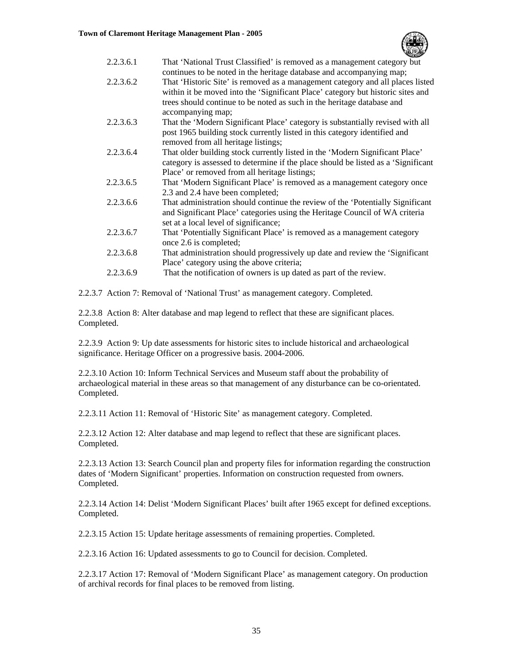

| 2.2.3.6.1 | That 'National Trust Classified' is removed as a management category but           |
|-----------|------------------------------------------------------------------------------------|
|           | continues to be noted in the heritage database and accompanying map;               |
| 2.2.3.6.2 | That 'Historic Site' is removed as a management category and all places listed     |
|           | within it be moved into the 'Significant Place' category but historic sites and    |
|           | trees should continue to be noted as such in the heritage database and             |
|           | accompanying map;                                                                  |
| 2.2.3.6.3 | That the 'Modern Significant Place' category is substantially revised with all     |
|           | post 1965 building stock currently listed in this category identified and          |
|           | removed from all heritage listings;                                                |
| 2.2.3.6.4 | That older building stock currently listed in the 'Modern Significant Place'       |
|           | category is assessed to determine if the place should be listed as a 'Significant' |
|           | Place' or removed from all heritage listings;                                      |
| 2.2.3.6.5 | That 'Modern Significant Place' is removed as a management category once           |
|           | 2.3 and 2.4 have been completed;                                                   |
| 2.2.3.6.6 | That administration should continue the review of the 'Potentially Significant     |
|           | and Significant Place' categories using the Heritage Council of WA criteria        |
|           | set at a local level of significance;                                              |
| 2.2.3.6.7 | That 'Potentially Significant Place' is removed as a management category           |
|           | once 2.6 is completed;                                                             |
| 2.2.3.6.8 | That administration should progressively up date and review the 'Significant'      |
|           | Place' category using the above criteria;                                          |
| 2.2.3.6.9 | That the notification of owners is up dated as part of the review.                 |
|           |                                                                                    |

2.2.3.7 Action 7: Removal of 'National Trust' as management category. Completed.

2.2.3.8 Action 8: Alter database and map legend to reflect that these are significant places. Completed.

2.2.3.9 Action 9: Up date assessments for historic sites to include historical and archaeological significance. Heritage Officer on a progressive basis. 2004-2006.

2.2.3.10 Action 10: Inform Technical Services and Museum staff about the probability of archaeological material in these areas so that management of any disturbance can be co-orientated. Completed.

2.2.3.11 Action 11: Removal of 'Historic Site' as management category. Completed.

2.2.3.12 Action 12: Alter database and map legend to reflect that these are significant places. Completed.

2.2.3.13 Action 13: Search Council plan and property files for information regarding the construction dates of 'Modern Significant' properties. Information on construction requested from owners. Completed.

2.2.3.14 Action 14: Delist 'Modern Significant Places' built after 1965 except for defined exceptions. Completed.

2.2.3.15 Action 15: Update heritage assessments of remaining properties. Completed.

2.2.3.16 Action 16: Updated assessments to go to Council for decision. Completed.

2.2.3.17 Action 17: Removal of 'Modern Significant Place' as management category. On production of archival records for final places to be removed from listing.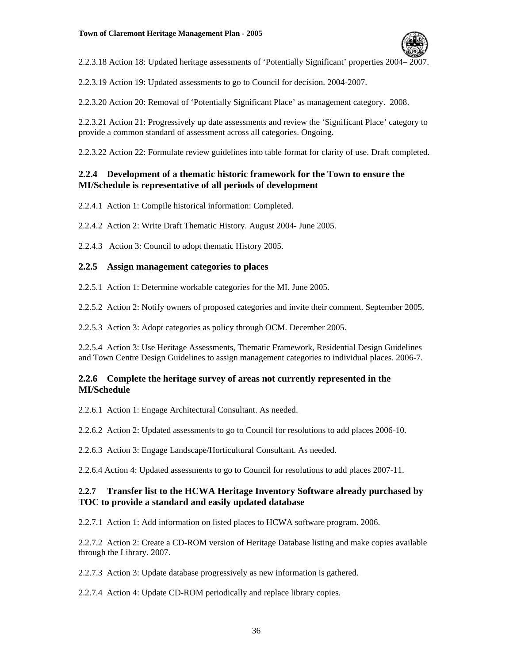

2.2.3.18 Action 18: Updated heritage assessments of 'Potentially Significant' properties 2004– 2007.

2.2.3.19 Action 19: Updated assessments to go to Council for decision. 2004-2007.

2.2.3.20 Action 20: Removal of 'Potentially Significant Place' as management category. 2008.

2.2.3.21 Action 21: Progressively up date assessments and review the 'Significant Place' category to provide a common standard of assessment across all categories. Ongoing.

2.2.3.22 Action 22: Formulate review guidelines into table format for clarity of use. Draft completed.

#### **2.2.4 Development of a thematic historic framework for the Town to ensure the MI/Schedule is representative of all periods of development**

2.2.4.1 Action 1: Compile historical information: Completed.

2.2.4.2 Action 2: Write Draft Thematic History. August 2004- June 2005.

2.2.4.3 Action 3: Council to adopt thematic History 2005.

#### **2.2.5 Assign management categories to places**

2.2.5.1 Action 1: Determine workable categories for the MI. June 2005.

2.2.5.2 Action 2: Notify owners of proposed categories and invite their comment. September 2005.

2.2.5.3 Action 3: Adopt categories as policy through OCM. December 2005.

2.2.5.4 Action 3: Use Heritage Assessments, Thematic Framework, Residential Design Guidelines and Town Centre Design Guidelines to assign management categories to individual places. 2006-7.

#### **2.2.6 Complete the heritage survey of areas not currently represented in the MI/Schedule**

2.2.6.1 Action 1: Engage Architectural Consultant. As needed.

2.2.6.2 Action 2: Updated assessments to go to Council for resolutions to add places 2006-10.

2.2.6.3 Action 3: Engage Landscape/Horticultural Consultant. As needed.

2.2.6.4 Action 4: Updated assessments to go to Council for resolutions to add places 2007-11.

#### **2.2.7 Transfer list to the HCWA Heritage Inventory Software already purchased by TOC to provide a standard and easily updated database**

2.2.7.1 Action 1: Add information on listed places to HCWA software program. 2006.

2.2.7.2 Action 2: Create a CD-ROM version of Heritage Database listing and make copies available through the Library. 2007.

2.2.7.3 Action 3: Update database progressively as new information is gathered.

2.2.7.4 Action 4: Update CD-ROM periodically and replace library copies.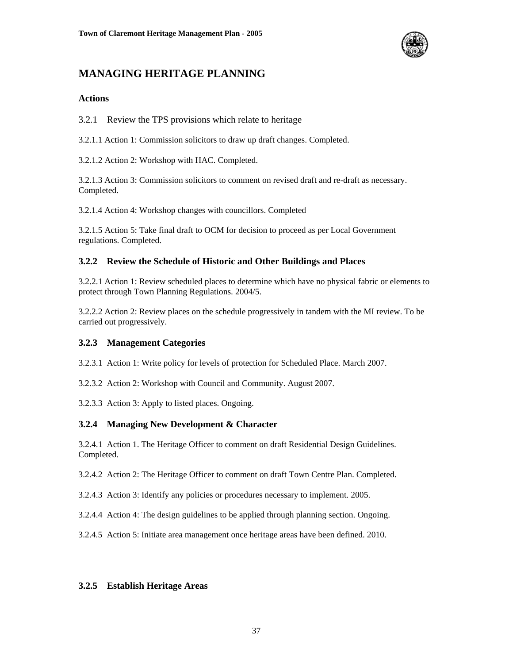

### **MANAGING HERITAGE PLANNING**

#### **Actions**

3.2.1 Review the TPS provisions which relate to heritage

3.2.1.1 Action 1: Commission solicitors to draw up draft changes. Completed.

3.2.1.2 Action 2: Workshop with HAC. Completed.

3.2.1.3 Action 3: Commission solicitors to comment on revised draft and re-draft as necessary. Completed.

3.2.1.4 Action 4: Workshop changes with councillors. Completed

3.2.1.5 Action 5: Take final draft to OCM for decision to proceed as per Local Government regulations. Completed.

#### **3.2.2 Review the Schedule of Historic and Other Buildings and Places**

3.2.2.1 Action 1: Review scheduled places to determine which have no physical fabric or elements to protect through Town Planning Regulations. 2004/5.

3.2.2.2 Action 2: Review places on the schedule progressively in tandem with the MI review. To be carried out progressively.

#### **3.2.3 Management Categories**

3.2.3.1 Action 1: Write policy for levels of protection for Scheduled Place. March 2007.

3.2.3.2 Action 2: Workshop with Council and Community. August 2007.

3.2.3.3 Action 3: Apply to listed places. Ongoing.

#### **3.2.4 Managing New Development & Character**

3.2.4.1 Action 1. The Heritage Officer to comment on draft Residential Design Guidelines. Completed.

3.2.4.2 Action 2: The Heritage Officer to comment on draft Town Centre Plan. Completed.

3.2.4.3 Action 3: Identify any policies or procedures necessary to implement. 2005.

3.2.4.4 Action 4: The design guidelines to be applied through planning section. Ongoing.

3.2.4.5 Action 5: Initiate area management once heritage areas have been defined. 2010.

#### **3.2.5 Establish Heritage Areas**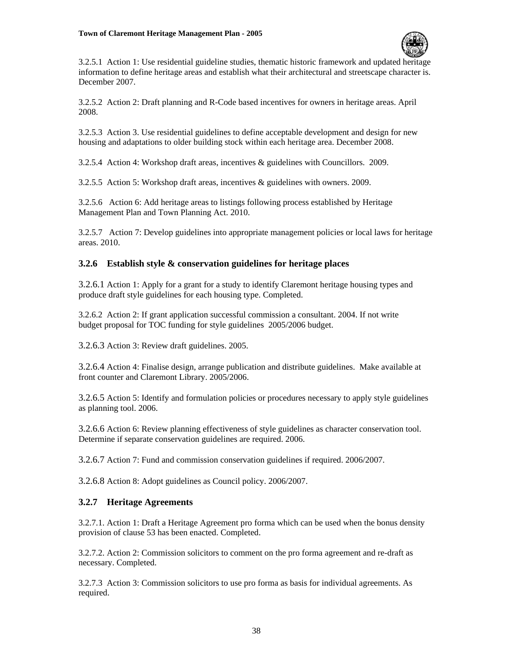

3.2.5.1 Action 1: Use residential guideline studies, thematic historic framework and updated heritage information to define heritage areas and establish what their architectural and streetscape character is. December 2007.

3.2.5.2 Action 2: Draft planning and R-Code based incentives for owners in heritage areas. April 2008.

3.2.5.3 Action 3. Use residential guidelines to define acceptable development and design for new housing and adaptations to older building stock within each heritage area. December 2008.

3.2.5.4 Action 4: Workshop draft areas, incentives & guidelines with Councillors. 2009.

3.2.5.5 Action 5: Workshop draft areas, incentives & guidelines with owners. 2009.

3.2.5.6 Action 6: Add heritage areas to listings following process established by Heritage Management Plan and Town Planning Act. 2010.

3.2.5.7 Action 7: Develop guidelines into appropriate management policies or local laws for heritage areas. 2010.

#### **3.2.6 Establish style & conservation guidelines for heritage places**

3.2.6.1 Action 1: Apply for a grant for a study to identify Claremont heritage housing types and produce draft style guidelines for each housing type. Completed.

3.2.6.2 Action 2: If grant application successful commission a consultant. 2004. If not write budget proposal for TOC funding for style guidelines 2005/2006 budget.

3.2.6.3 Action 3: Review draft guidelines. 2005.

3.2.6.4 Action 4: Finalise design, arrange publication and distribute guidelines. Make available at front counter and Claremont Library. 2005/2006.

3.2.6.5 Action 5: Identify and formulation policies or procedures necessary to apply style guidelines as planning tool. 2006.

3.2.6.6 Action 6: Review planning effectiveness of style guidelines as character conservation tool. Determine if separate conservation guidelines are required. 2006.

3.2.6.7 Action 7: Fund and commission conservation guidelines if required. 2006/2007.

3.2.6.8 Action 8: Adopt guidelines as Council policy. 2006/2007.

#### **3.2.7 Heritage Agreements**

3.2.7.1. Action 1: Draft a Heritage Agreement pro forma which can be used when the bonus density provision of clause 53 has been enacted. Completed.

3.2.7.2. Action 2: Commission solicitors to comment on the pro forma agreement and re-draft as necessary. Completed.

3.2.7.3 Action 3: Commission solicitors to use pro forma as basis for individual agreements. As required.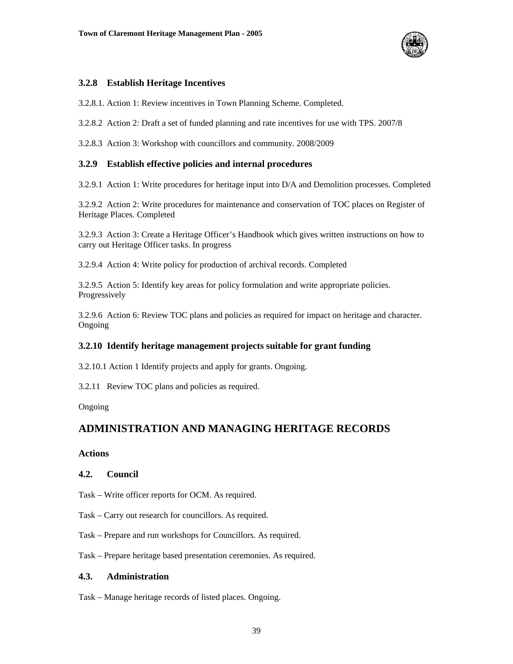

#### **3.2.8 Establish Heritage Incentives**

3.2.8.1. Action 1: Review incentives in Town Planning Scheme. Completed.

3.2.8.2 Action 2: Draft a set of funded planning and rate incentives for use with TPS. 2007/8

3.2.8.3 Action 3: Workshop with councillors and community. 2008/2009

#### **3.2.9 Establish effective policies and internal procedures**

3.2.9.1 Action 1: Write procedures for heritage input into D/A and Demolition processes. Completed

3.2.9.2 Action 2: Write procedures for maintenance and conservation of TOC places on Register of Heritage Places. Completed

3.2.9.3 Action 3: Create a Heritage Officer's Handbook which gives written instructions on how to carry out Heritage Officer tasks. In progress

3.2.9.4 Action 4: Write policy for production of archival records. Completed

3.2.9.5 Action 5: Identify key areas for policy formulation and write appropriate policies. Progressively

3.2.9.6 Action 6: Review TOC plans and policies as required for impact on heritage and character. Ongoing

#### **3.2.10 Identify heritage management projects suitable for grant funding**

3.2.10.1 Action 1 Identify projects and apply for grants. Ongoing.

3.2.11 Review TOC plans and policies as required.

Ongoing

#### **ADMINISTRATION AND MANAGING HERITAGE RECORDS**

#### **Actions**

#### **4.2. Council**

- Task Write officer reports for OCM. As required.
- Task Carry out research for councillors. As required.
- Task Prepare and run workshops for Councillors. As required.

Task – Prepare heritage based presentation ceremonies. As required.

#### **4.3. Administration**

Task – Manage heritage records of listed places. Ongoing.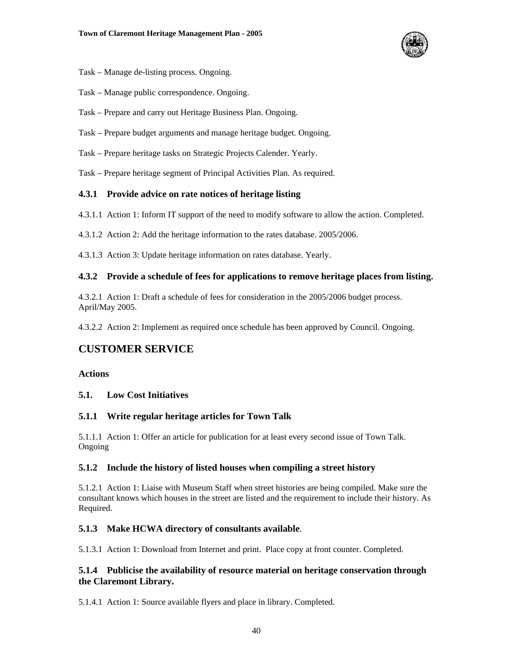

- Task Manage de-listing process. Ongoing.
- Task Manage public correspondence. Ongoing.
- Task Prepare and carry out Heritage Business Plan. Ongoing.
- Task Prepare budget arguments and manage heritage budget. Ongoing.
- Task Prepare heritage tasks on Strategic Projects Calender. Yearly.

Task – Prepare heritage segment of Principal Activities Plan. As required.

#### **4.3.1 Provide advice on rate notices of heritage listing**

- 4.3.1.1 Action 1: Inform IT support of the need to modify software to allow the action. Completed.
- 4.3.1.2 Action 2: Add the heritage information to the rates database. 2005/2006.

4.3.1.3 Action 3: Update heritage information on rates database. Yearly.

#### **4.3.2 Provide a schedule of fees for applications to remove heritage places from listing.**

4.3.2.1 Action 1: Draft a schedule of fees for consideration in the 2005/2006 budget process. April/May 2005.

4.3.2.2 Action 2: Implement as required once schedule has been approved by Council. Ongoing.

#### **CUSTOMER SERVICE**

#### **Actions**

#### **5.1. Low Cost Initiatives**

#### **5.1.1 Write regular heritage articles for Town Talk**

5.1.1.1 Action 1: Offer an article for publication for at least every second issue of Town Talk. Ongoing

#### **5.1.2 Include the history of listed houses when compiling a street history**

5.1.2.1 Action 1: Liaise with Museum Staff when street histories are being compiled. Make sure the consultant knows which houses in the street are listed and the requirement to include their history. As Required.

#### **5.1.3 Make HCWA directory of consultants available**.

5.1.3.1 Action 1: Download from Internet and print. Place copy at front counter. Completed.

#### **5.1.4 Publicise the availability of resource material on heritage conservation through the Claremont Library.**

5.1.4.1 Action 1: Source available flyers and place in library. Completed.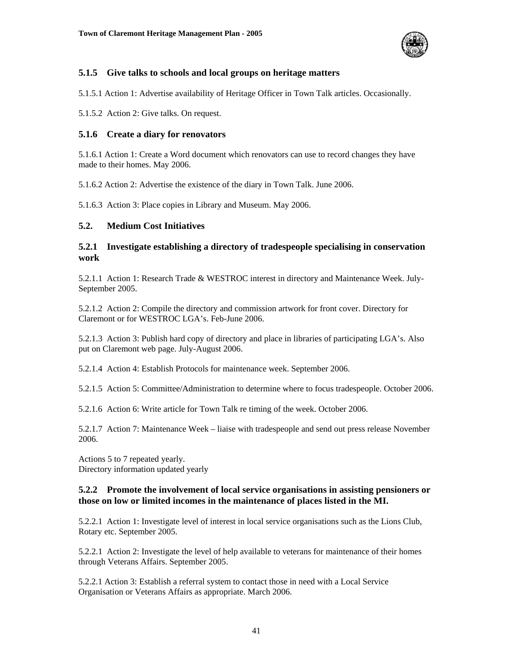

#### **5.1.5 Give talks to schools and local groups on heritage matters**

5.1.5.1 Action 1: Advertise availability of Heritage Officer in Town Talk articles. Occasionally.

5.1.5.2 Action 2: Give talks. On request.

#### **5.1.6 Create a diary for renovators**

5.1.6.1 Action 1: Create a Word document which renovators can use to record changes they have made to their homes. May 2006.

5.1.6.2 Action 2: Advertise the existence of the diary in Town Talk. June 2006.

5.1.6.3 Action 3: Place copies in Library and Museum. May 2006.

#### **5.2. Medium Cost Initiatives**

#### **5.2.1 Investigate establishing a directory of tradespeople specialising in conservation work**

5.2.1.1 Action 1: Research Trade & WESTROC interest in directory and Maintenance Week. July-September 2005.

5.2.1.2 Action 2: Compile the directory and commission artwork for front cover. Directory for Claremont or for WESTROC LGA's. Feb-June 2006.

5.2.1.3 Action 3: Publish hard copy of directory and place in libraries of participating LGA's. Also put on Claremont web page. July-August 2006.

5.2.1.4 Action 4: Establish Protocols for maintenance week. September 2006.

5.2.1.5 Action 5: Committee/Administration to determine where to focus tradespeople. October 2006.

5.2.1.6 Action 6: Write article for Town Talk re timing of the week. October 2006.

5.2.1.7 Action 7: Maintenance Week – liaise with tradespeople and send out press release November 2006.

Actions 5 to 7 repeated yearly. Directory information updated yearly

#### **5.2.2 Promote the involvement of local service organisations in assisting pensioners or those on low or limited incomes in the maintenance of places listed in the MI.**

5.2.2.1 Action 1: Investigate level of interest in local service organisations such as the Lions Club, Rotary etc. September 2005.

5.2.2.1 Action 2: Investigate the level of help available to veterans for maintenance of their homes through Veterans Affairs. September 2005.

5.2.2.1 Action 3: Establish a referral system to contact those in need with a Local Service Organisation or Veterans Affairs as appropriate. March 2006.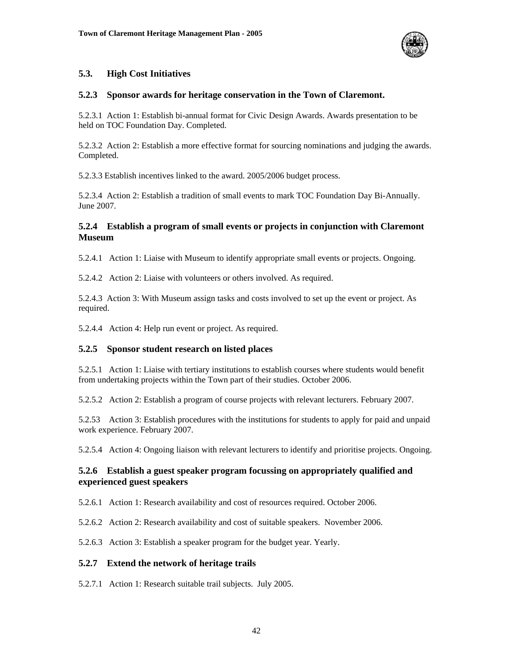

#### **5.3. High Cost Initiatives**

#### **5.2.3 Sponsor awards for heritage conservation in the Town of Claremont.**

5.2.3.1 Action 1: Establish bi-annual format for Civic Design Awards. Awards presentation to be held on TOC Foundation Day. Completed.

5.2.3.2 Action 2: Establish a more effective format for sourcing nominations and judging the awards. Completed.

5.2.3.3 Establish incentives linked to the award. 2005/2006 budget process.

5.2.3.4 Action 2: Establish a tradition of small events to mark TOC Foundation Day Bi-Annually. June 2007.

#### **5.2.4 Establish a program of small events or projects in conjunction with Claremont Museum**

5.2.4.1 Action 1: Liaise with Museum to identify appropriate small events or projects. Ongoing.

5.2.4.2 Action 2: Liaise with volunteers or others involved. As required.

5.2.4.3 Action 3: With Museum assign tasks and costs involved to set up the event or project. As required.

5.2.4.4 Action 4: Help run event or project. As required.

#### **5.2.5 Sponsor student research on listed places**

5.2.5.1 Action 1: Liaise with tertiary institutions to establish courses where students would benefit from undertaking projects within the Town part of their studies. October 2006.

5.2.5.2 Action 2: Establish a program of course projects with relevant lecturers. February 2007.

5.2.53 Action 3: Establish procedures with the institutions for students to apply for paid and unpaid work experience. February 2007.

5.2.5.4 Action 4: Ongoing liaison with relevant lecturers to identify and prioritise projects. Ongoing.

#### **5.2.6 Establish a guest speaker program focussing on appropriately qualified and experienced guest speakers**

5.2.6.1 Action 1: Research availability and cost of resources required. October 2006.

5.2.6.2 Action 2: Research availability and cost of suitable speakers. November 2006.

5.2.6.3 Action 3: Establish a speaker program for the budget year. Yearly.

#### **5.2.7 Extend the network of heritage trails**

5.2.7.1 Action 1: Research suitable trail subjects. July 2005.